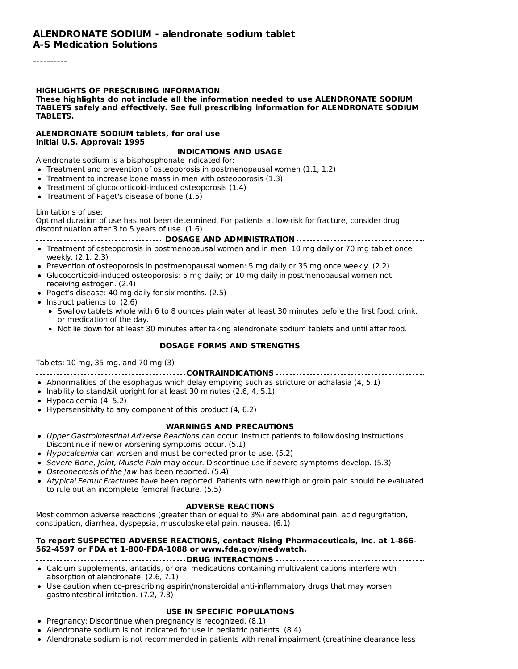----------

#### **HIGHLIGHTS OF PRESCRIBING INFORMATION**

#### **These highlights do not include all the information needed to use ALENDRONATE SODIUM TABLETS safely and effectively. See full prescribing information for ALENDRONATE SODIUM TABLETS.**

#### **ALENDRONATE SODIUM tablets, for oral use Initial U.S. Approval: 1995**

**INDICATIONS AND USAGE**

Alendronate sodium is a bisphosphonate indicated for:

- $\bullet$  Treatment and prevention of osteoporosis in postmenopausal women (1.1, 1.2)
- Treatment to increase bone mass in men with osteoporosis (1.3)
- Treatment of glucocorticoid-induced osteoporosis (1.4)
- Treatment of Paget's disease of bone (1.5)

Limitations of use:

Optimal duration of use has not been determined. For patients at low-risk for fracture, consider drug discontinuation after 3 to 5 years of use. (1.6)

**DOSAGE AND ADMINISTRATION**

- Treatment of osteoporosis in postmenopausal women and in men: 10 mg daily or 70 mg tablet once weekly. (2.1, 2.3)
- Prevention of osteoporosis in postmenopausal women: 5 mg daily or 35 mg once weekly. (2.2)
- Glucocorticoid-induced osteoporosis: 5 mg daily; or 10 mg daily in postmenopausal women not receiving estrogen. (2.4)
- Paget's disease: 40 mg daily for six months. (2.5)
- $\bullet$  Instruct patients to: (2.6)
	- Swallow tablets whole with 6 to 8 ounces plain water at least 30 minutes before the first food, drink, or medication of the day.
	- Not lie down for at least 30 minutes after taking alendronate sodium tablets and until after food.

#### **DOSAGE FORMS AND STRENGTHS**

#### Tablets: 10 mg, 35 mg, and 70 mg (3)

- **CONTRAINDICATIONS**
- Abnormalities of the esophagus which delay emptying such as stricture or achalasia (4, 5.1)
- $\bullet$  Inability to stand/sit upright for at least 30 minutes (2.6, 4, 5.1)
- Hypocalcemia (4, 5.2)
- Hypersensitivity to any component of this product (4, 6.2)

#### **WARNINGS AND PRECAUTIONS**

- Upper Gastrointestinal Adverse Reactions can occur. Instruct patients to follow dosing instructions. Discontinue if new or worsening symptoms occur. (5.1)
- Hypocalcemia can worsen and must be corrected prior to use. (5.2)
- Severe Bone, Joint, Muscle Pain may occur. Discontinue use if severe symptoms develop. (5.3)
- Osteonecrosis of the Jaw has been reported. (5.4)
- Atypical Femur Fractures have been reported. Patients with new thigh or groin pain should be evaluated to rule out an incomplete femoral fracture. (5.5)

**ADVERSE REACTIONS** Most common adverse reactions (greater than or equal to 3%) are abdominal pain, acid regurgitation, constipation, diarrhea, dyspepsia, musculoskeletal pain, nausea. (6.1)

#### **To report SUSPECTED ADVERSE REACTIONS, contact Rising Pharmaceuticals, Inc. at 1-866- 562-4597 or FDA at 1-800-FDA-1088 or www.fda.gov/medwatch.**

#### **DRUG INTERACTIONS**

- Calcium supplements, antacids, or oral medications containing multivalent cations interfere with absorption of alendronate. (2.6, 7.1)
- Use caution when co-prescribing aspirin/nonsteroidal anti-inflammatory drugs that may worsen gastrointestinal irritation. (7.2, 7.3)

#### **USE IN SPECIFIC POPULATIONS**

- Pregnancy: Discontinue when pregnancy is recognized.  $(8.1)$
- Alendronate sodium is not indicated for use in pediatric patients. (8.4)
- Alendronate sodium is not recommended in patients with renal impairment (creatinine clearance less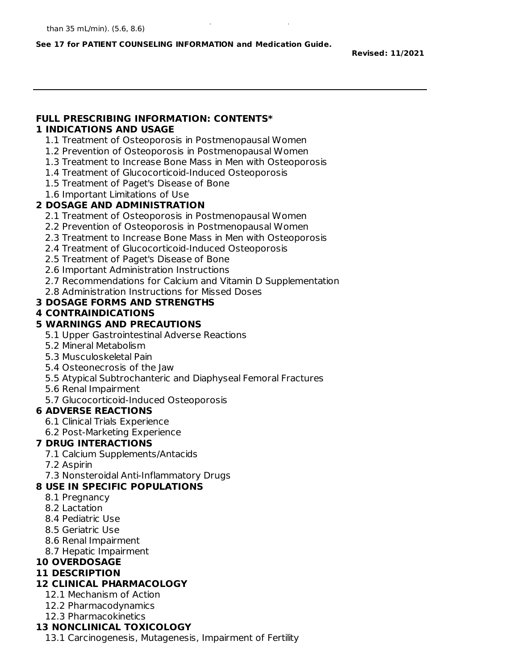#### **See 17 for PATIENT COUNSELING INFORMATION and Medication Guide.**

**Revised: 11/2021**

#### **FULL PRESCRIBING INFORMATION: CONTENTS\* 1 INDICATIONS AND USAGE**

- 1.1 Treatment of Osteoporosis in Postmenopausal Women
- 1.2 Prevention of Osteoporosis in Postmenopausal Women
- 1.3 Treatment to Increase Bone Mass in Men with Osteoporosis
- 1.4 Treatment of Glucocorticoid-Induced Osteoporosis
- 1.5 Treatment of Paget's Disease of Bone
- 1.6 Important Limitations of Use

### **2 DOSAGE AND ADMINISTRATION**

- 2.1 Treatment of Osteoporosis in Postmenopausal Women
- 2.2 Prevention of Osteoporosis in Postmenopausal Women
- 2.3 Treatment to Increase Bone Mass in Men with Osteoporosis
- 2.4 Treatment of Glucocorticoid-Induced Osteoporosis
- 2.5 Treatment of Paget's Disease of Bone
- 2.6 Important Administration Instructions
- 2.7 Recommendations for Calcium and Vitamin D Supplementation
- 2.8 Administration Instructions for Missed Doses

### **3 DOSAGE FORMS AND STRENGTHS**

### **4 CONTRAINDICATIONS**

### **5 WARNINGS AND PRECAUTIONS**

- 5.1 Upper Gastrointestinal Adverse Reactions
- 5.2 Mineral Metabolism
- 5.3 Musculoskeletal Pain
- 5.4 Osteonecrosis of the Jaw
- 5.5 Atypical Subtrochanteric and Diaphyseal Femoral Fractures
- 5.6 Renal Impairment
- 5.7 Glucocorticoid-Induced Osteoporosis

#### **6 ADVERSE REACTIONS**

- 6.1 Clinical Trials Experience
- 6.2 Post-Marketing Experience

### **7 DRUG INTERACTIONS**

- 7.1 Calcium Supplements/Antacids
- 7.2 Aspirin
- 7.3 Nonsteroidal Anti-Inflammatory Drugs

### **8 USE IN SPECIFIC POPULATIONS**

- 8.1 Pregnancy
- 8.2 Lactation
- 8.4 Pediatric Use
- 8.5 Geriatric Use
- 8.6 Renal Impairment
- 8.7 Hepatic Impairment
- **10 OVERDOSAGE**

### **11 DESCRIPTION**

# **12 CLINICAL PHARMACOLOGY**

- 12.1 Mechanism of Action
- 12.2 Pharmacodynamics
- 12.3 Pharmacokinetics

### **13 NONCLINICAL TOXICOLOGY**

13.1 Carcinogenesis, Mutagenesis, Impairment of Fertility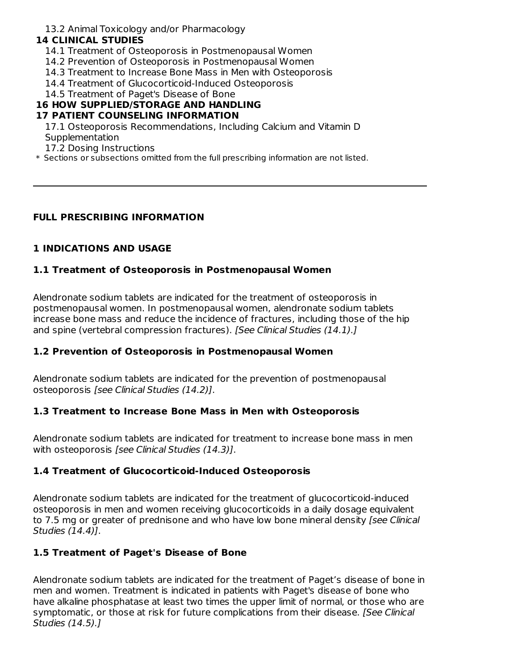13.2 Animal Toxicology and/or Pharmacology

# **14 CLINICAL STUDIES**

- 14.1 Treatment of Osteoporosis in Postmenopausal Women
- 14.2 Prevention of Osteoporosis in Postmenopausal Women
- 14.3 Treatment to Increase Bone Mass in Men with Osteoporosis
- 14.4 Treatment of Glucocorticoid-Induced Osteoporosis
- 14.5 Treatment of Paget's Disease of Bone

# **16 HOW SUPPLIED/STORAGE AND HANDLING**

### **17 PATIENT COUNSELING INFORMATION**

17.1 Osteoporosis Recommendations, Including Calcium and Vitamin D Supplementation

17.2 Dosing Instructions

\* Sections or subsections omitted from the full prescribing information are not listed.

### **FULL PRESCRIBING INFORMATION**

# **1 INDICATIONS AND USAGE**

### **1.1 Treatment of Osteoporosis in Postmenopausal Women**

Alendronate sodium tablets are indicated for the treatment of osteoporosis in postmenopausal women. In postmenopausal women, alendronate sodium tablets increase bone mass and reduce the incidence of fractures, including those of the hip and spine (vertebral compression fractures). [See Clinical Studies (14.1).]

# **1.2 Prevention of Osteoporosis in Postmenopausal Women**

Alendronate sodium tablets are indicated for the prevention of postmenopausal osteoporosis [see Clinical Studies (14.2)].

# **1.3 Treatment to Increase Bone Mass in Men with Osteoporosis**

Alendronate sodium tablets are indicated for treatment to increase bone mass in men with osteoporosis [see Clinical Studies (14.3)].

# **1.4 Treatment of Glucocorticoid-Induced Osteoporosis**

Alendronate sodium tablets are indicated for the treatment of glucocorticoid-induced osteoporosis in men and women receiving glucocorticoids in a daily dosage equivalent to 7.5 mg or greater of prednisone and who have low bone mineral density [see Clinical Studies (14.4)].

# **1.5 Treatment of Paget's Disease of Bone**

Alendronate sodium tablets are indicated for the treatment of Paget's disease of bone in men and women. Treatment is indicated in patients with Paget's disease of bone who have alkaline phosphatase at least two times the upper limit of normal, or those who are symptomatic, or those at risk for future complications from their disease. [See Clinical Studies (14.5).]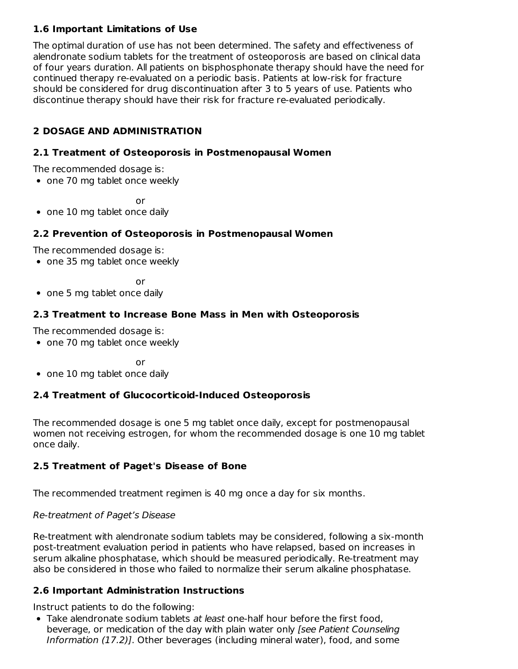# **1.6 Important Limitations of Use**

The optimal duration of use has not been determined. The safety and effectiveness of alendronate sodium tablets for the treatment of osteoporosis are based on clinical data of four years duration. All patients on bisphosphonate therapy should have the need for continued therapy re-evaluated on a periodic basis. Patients at low-risk for fracture should be considered for drug discontinuation after 3 to 5 years of use. Patients who discontinue therapy should have their risk for fracture re-evaluated periodically.

# **2 DOSAGE AND ADMINISTRATION**

# **2.1 Treatment of Osteoporosis in Postmenopausal Women**

The recommended dosage is:

• one 70 mg tablet once weekly

or

• one 10 mg tablet once daily

# **2.2 Prevention of Osteoporosis in Postmenopausal Women**

The recommended dosage is:

• one 35 mg tablet once weekly

or

• one 5 mg tablet once daily

# **2.3 Treatment to Increase Bone Mass in Men with Osteoporosis**

The recommended dosage is:

• one 70 mg tablet once weekly

or

• one 10 mg tablet once daily

# **2.4 Treatment of Glucocorticoid-Induced Osteoporosis**

The recommended dosage is one 5 mg tablet once daily, except for postmenopausal women not receiving estrogen, for whom the recommended dosage is one 10 mg tablet once daily.

# **2.5 Treatment of Paget's Disease of Bone**

The recommended treatment regimen is 40 mg once a day for six months.

# Re-treatment of Paget's Disease

Re-treatment with alendronate sodium tablets may be considered, following a six-month post-treatment evaluation period in patients who have relapsed, based on increases in serum alkaline phosphatase, which should be measured periodically. Re-treatment may also be considered in those who failed to normalize their serum alkaline phosphatase.

# **2.6 Important Administration Instructions**

Instruct patients to do the following:

• Take alendronate sodium tablets at least one-half hour before the first food, beverage, or medication of the day with plain water only [see Patient Counseling Information (17.2)]. Other beverages (including mineral water), food, and some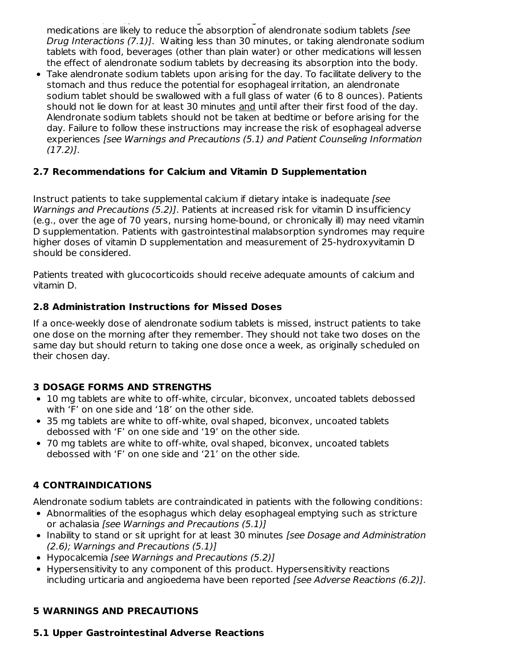Information (17.2)]. Other beverages (including mineral water), food, and some medications are likely to reduce the absorption of alendronate sodium tablets [see Drug Interactions (7.1)]. Waiting less than 30 minutes, or taking alendronate sodium tablets with food, beverages (other than plain water) or other medications will lessen the effect of alendronate sodium tablets by decreasing its absorption into the body.

Take alendronate sodium tablets upon arising for the day. To facilitate delivery to the stomach and thus reduce the potential for esophageal irritation, an alendronate sodium tablet should be swallowed with a full glass of water (6 to 8 ounces). Patients should not lie down for at least 30 minutes and until after their first food of the day. Alendronate sodium tablets should not be taken at bedtime or before arising for the day. Failure to follow these instructions may increase the risk of esophageal adverse experiences [see Warnings and Precautions (5.1) and Patient Counseling Information  $(17.2)$ ].

# **2.7 Recommendations for Calcium and Vitamin D Supplementation**

Instruct patients to take supplemental calcium if dietary intake is inadequate [see Warnings and Precautions (5.2)]. Patients at increased risk for vitamin D insufficiency (e.g., over the age of 70 years, nursing home-bound, or chronically ill) may need vitamin D supplementation. Patients with gastrointestinal malabsorption syndromes may require higher doses of vitamin D supplementation and measurement of 25-hydroxyvitamin D should be considered.

Patients treated with glucocorticoids should receive adequate amounts of calcium and vitamin D.

# **2.8 Administration Instructions for Missed Doses**

If a once-weekly dose of alendronate sodium tablets is missed, instruct patients to take one dose on the morning after they remember. They should not take two doses on the same day but should return to taking one dose once a week, as originally scheduled on their chosen day.

# **3 DOSAGE FORMS AND STRENGTHS**

- 10 mg tablets are white to off-white, circular, biconvex, uncoated tablets debossed with 'F' on one side and '18' on the other side.
- 35 mg tablets are white to off-white, oval shaped, biconvex, uncoated tablets debossed with 'F' on one side and '19' on the other side.
- 70 mg tablets are white to off-white, oval shaped, biconvex, uncoated tablets debossed with 'F' on one side and '21' on the other side.

# **4 CONTRAINDICATIONS**

Alendronate sodium tablets are contraindicated in patients with the following conditions:

- Abnormalities of the esophagus which delay esophageal emptying such as stricture or achalasia [see Warnings and Precautions (5.1)]
- Inability to stand or sit upright for at least 30 minutes [see Dosage and Administration (2.6); Warnings and Precautions (5.1)]
- Hypocalcemia [see Warnings and Precautions (5.2)]
- Hypersensitivity to any component of this product. Hypersensitivity reactions including urticaria and angioedema have been reported [see Adverse Reactions (6.2)].

# **5 WARNINGS AND PRECAUTIONS**

# **5.1 Upper Gastrointestinal Adverse Reactions**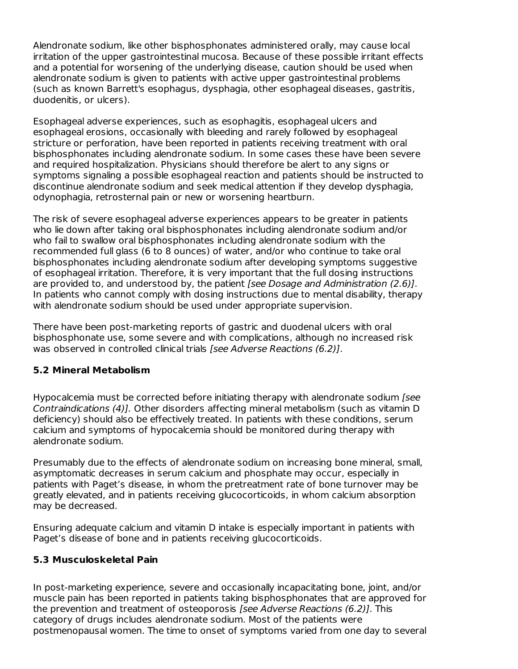Alendronate sodium, like other bisphosphonates administered orally, may cause local irritation of the upper gastrointestinal mucosa. Because of these possible irritant effects and a potential for worsening of the underlying disease, caution should be used when alendronate sodium is given to patients with active upper gastrointestinal problems (such as known Barrett's esophagus, dysphagia, other esophageal diseases, gastritis, duodenitis, or ulcers).

Esophageal adverse experiences, such as esophagitis, esophageal ulcers and esophageal erosions, occasionally with bleeding and rarely followed by esophageal stricture or perforation, have been reported in patients receiving treatment with oral bisphosphonates including alendronate sodium. In some cases these have been severe and required hospitalization. Physicians should therefore be alert to any signs or symptoms signaling a possible esophageal reaction and patients should be instructed to discontinue alendronate sodium and seek medical attention if they develop dysphagia, odynophagia, retrosternal pain or new or worsening heartburn.

The risk of severe esophageal adverse experiences appears to be greater in patients who lie down after taking oral bisphosphonates including alendronate sodium and/or who fail to swallow oral bisphosphonates including alendronate sodium with the recommended full glass (6 to 8 ounces) of water, and/or who continue to take oral bisphosphonates including alendronate sodium after developing symptoms suggestive of esophageal irritation. Therefore, it is very important that the full dosing instructions are provided to, and understood by, the patient [see Dosage and Administration (2.6)]. In patients who cannot comply with dosing instructions due to mental disability, therapy with alendronate sodium should be used under appropriate supervision.

There have been post-marketing reports of gastric and duodenal ulcers with oral bisphosphonate use, some severe and with complications, although no increased risk was observed in controlled clinical trials [see Adverse Reactions (6.2)].

# **5.2 Mineral Metabolism**

Hypocalcemia must be corrected before initiating therapy with alendronate sodium [see Contraindications (4)]. Other disorders affecting mineral metabolism (such as vitamin D deficiency) should also be effectively treated. In patients with these conditions, serum calcium and symptoms of hypocalcemia should be monitored during therapy with alendronate sodium.

Presumably due to the effects of alendronate sodium on increasing bone mineral, small, asymptomatic decreases in serum calcium and phosphate may occur, especially in patients with Paget's disease, in whom the pretreatment rate of bone turnover may be greatly elevated, and in patients receiving glucocorticoids, in whom calcium absorption may be decreased.

Ensuring adequate calcium and vitamin D intake is especially important in patients with Paget's disease of bone and in patients receiving glucocorticoids.

# **5.3 Musculoskeletal Pain**

In post-marketing experience, severe and occasionally incapacitating bone, joint, and/or muscle pain has been reported in patients taking bisphosphonates that are approved for the prevention and treatment of osteoporosis [see Adverse Reactions (6.2)]. This category of drugs includes alendronate sodium. Most of the patients were postmenopausal women. The time to onset of symptoms varied from one day to several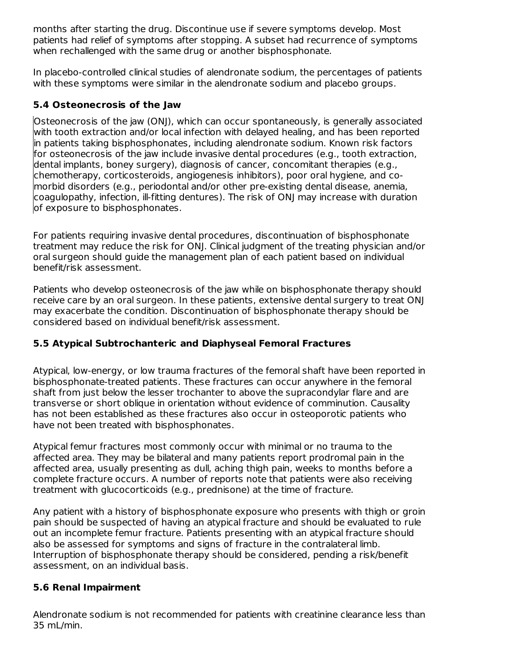months after starting the drug. Discontinue use if severe symptoms develop. Most patients had relief of symptoms after stopping. A subset had recurrence of symptoms when rechallenged with the same drug or another bisphosphonate.

In placebo-controlled clinical studies of alendronate sodium, the percentages of patients with these symptoms were similar in the alendronate sodium and placebo groups.

# **5.4 Osteonecrosis of the Jaw**

Osteonecrosis of the jaw (ONJ), which can occur spontaneously, is generally associated with tooth extraction and/or local infection with delayed healing, and has been reported in patients taking bisphosphonates, including alendronate sodium. Known risk factors for osteonecrosis of the jaw include invasive dental procedures (e.g., tooth extraction, dental implants, boney surgery), diagnosis of cancer, concomitant therapies (e.g., chemotherapy, corticosteroids, angiogenesis inhibitors), poor oral hygiene, and comorbid disorders (e.g., periodontal and/or other pre-existing dental disease, anemia, coagulopathy, infection, ill-fitting dentures). The risk of ONJ may increase with duration of exposure to bisphosphonates.

For patients requiring invasive dental procedures, discontinuation of bisphosphonate treatment may reduce the risk for ONJ. Clinical judgment of the treating physician and/or oral surgeon should guide the management plan of each patient based on individual benefit/risk assessment.

Patients who develop osteonecrosis of the jaw while on bisphosphonate therapy should receive care by an oral surgeon. In these patients, extensive dental surgery to treat ONJ may exacerbate the condition. Discontinuation of bisphosphonate therapy should be considered based on individual benefit/risk assessment.

# **5.5 Atypical Subtrochanteric and Diaphyseal Femoral Fractures**

Atypical, low-energy, or low trauma fractures of the femoral shaft have been reported in bisphosphonate-treated patients. These fractures can occur anywhere in the femoral shaft from just below the lesser trochanter to above the supracondylar flare and are transverse or short oblique in orientation without evidence of comminution. Causality has not been established as these fractures also occur in osteoporotic patients who have not been treated with bisphosphonates.

Atypical femur fractures most commonly occur with minimal or no trauma to the affected area. They may be bilateral and many patients report prodromal pain in the affected area, usually presenting as dull, aching thigh pain, weeks to months before a complete fracture occurs. A number of reports note that patients were also receiving treatment with glucocorticoids (e.g., prednisone) at the time of fracture.

Any patient with a history of bisphosphonate exposure who presents with thigh or groin pain should be suspected of having an atypical fracture and should be evaluated to rule out an incomplete femur fracture. Patients presenting with an atypical fracture should also be assessed for symptoms and signs of fracture in the contralateral limb. Interruption of bisphosphonate therapy should be considered, pending a risk/benefit assessment, on an individual basis.

# **5.6 Renal Impairment**

Alendronate sodium is not recommended for patients with creatinine clearance less than 35 mL/min.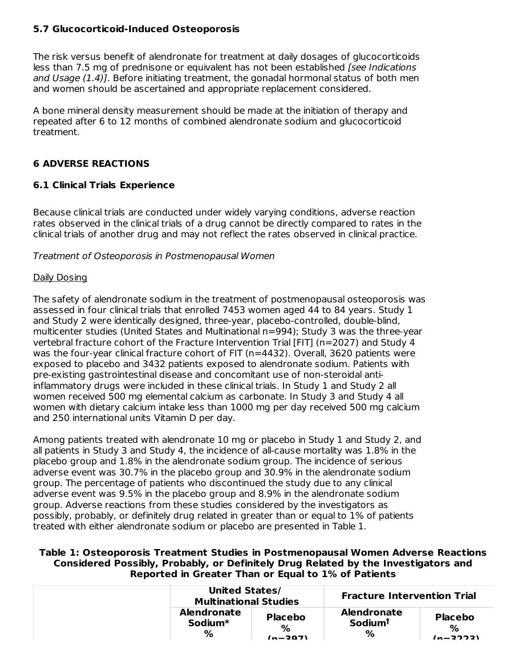# **5.7 Glucocorticoid-Induced Osteoporosis**

The risk versus benefit of alendronate for treatment at daily dosages of glucocorticoids less than 7.5 mg of prednisone or equivalent has not been established [see Indications] and Usage  $(1.4)$ . Before initiating treatment, the gonadal hormonal status of both men and women should be ascertained and appropriate replacement considered.

A bone mineral density measurement should be made at the initiation of therapy and repeated after 6 to 12 months of combined alendronate sodium and glucocorticoid treatment.

# **6 ADVERSE REACTIONS**

# **6.1 Clinical Trials Experience**

Because clinical trials are conducted under widely varying conditions, adverse reaction rates observed in the clinical trials of a drug cannot be directly compared to rates in the clinical trials of another drug and may not reflect the rates observed in clinical practice.

Treatment of Osteoporosis in Postmenopausal Women

### Daily Dosing

The safety of alendronate sodium in the treatment of postmenopausal osteoporosis was assessed in four clinical trials that enrolled 7453 women aged 44 to 84 years. Study 1 and Study 2 were identically designed, three-year, placebo-controlled, double-blind, multicenter studies (United States and Multinational n=994); Study 3 was the three-year vertebral fracture cohort of the Fracture Intervention Trial [FIT] (n=2027) and Study 4 was the four-year clinical fracture cohort of FIT (n=4432). Overall, 3620 patients were exposed to placebo and 3432 patients exposed to alendronate sodium. Patients with pre-existing gastrointestinal disease and concomitant use of non-steroidal antiinflammatory drugs were included in these clinical trials. In Study 1 and Study 2 all women received 500 mg elemental calcium as carbonate. In Study 3 and Study 4 all women with dietary calcium intake less than 1000 mg per day received 500 mg calcium and 250 international units Vitamin D per day.

Among patients treated with alendronate 10 mg or placebo in Study 1 and Study 2, and all patients in Study 3 and Study 4, the incidence of all-cause mortality was 1.8% in the placebo group and 1.8% in the alendronate sodium group. The incidence of serious adverse event was 30.7% in the placebo group and 30.9% in the alendronate sodium group. The percentage of patients who discontinued the study due to any clinical adverse event was 9.5% in the placebo group and 8.9% in the alendronate sodium group. Adverse reactions from these studies considered by the investigators as possibly, probably, or definitely drug related in greater than or equal to 1% of patients treated with either alendronate sodium or placebo are presented in Table 1.

#### **Table 1: Osteoporosis Treatment Studies in Postmenopausal Women Adverse Reactions Considered Possibly, Probably, or Definitely Drug Related by the Investigators and Reported in Greater Than or Equal to 1% of Patients**

| <b>United States/</b><br><b>Multinational Studies</b> |                | <b>Fracture Intervention Trial</b> |                |
|-------------------------------------------------------|----------------|------------------------------------|----------------|
| <b>Alendronate</b>                                    | <b>Placebo</b> | <b>Alendronate</b>                 | <b>Placebo</b> |
| Sodium*                                               | $\%$           | Sodium <sup>†</sup>                | $\frac{1}{2}$  |
| %                                                     | $(n - 207)$    | %                                  | $(n - 2222)$   |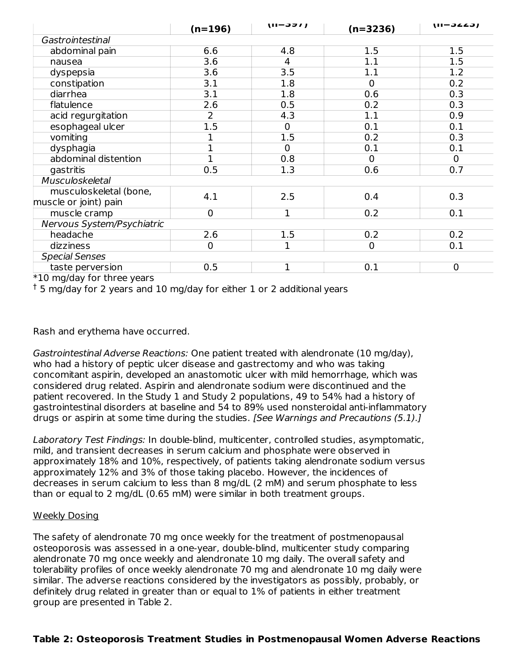|                                                 | $(n=196)$      | $(11 - 371)$     | $(n=3236)$     | $(11 - 322)$   |  |  |
|-------------------------------------------------|----------------|------------------|----------------|----------------|--|--|
| Gastrointestinal                                |                |                  |                |                |  |  |
| abdominal pain                                  | 6.6            | 4.8              | 1.5            | 1.5            |  |  |
| nausea                                          | 3.6            | 4                | 1.1            | 1.5            |  |  |
| dyspepsia                                       | 3.6            | $\overline{3.5}$ | 1.1            | 1.2            |  |  |
| constipation                                    | 3.1            | 1.8              | $\mathbf{0}$   | 0.2            |  |  |
| diarrhea                                        | 3.1            | 1.8              | 0.6            | 0.3            |  |  |
| flatulence                                      | 2.6            | 0.5              | 0.2            | 0.3            |  |  |
| acid regurgitation                              | $\overline{2}$ | 4.3              | 1.1            | 0.9            |  |  |
| esophageal ulcer                                | 1.5            | $\mathbf 0$      | 0.1            | 0.1            |  |  |
| vomiting                                        | 1              | 1.5              | 0.2            | 0.3            |  |  |
| dysphagia                                       | 1              | $\overline{0}$   | 0.1            | 0.1            |  |  |
| abdominal distention                            | $\mathbf{1}$   | 0.8              | $\Omega$       | $\overline{0}$ |  |  |
| gastritis                                       | 0.5            | 1.3              | 0.6            | 0.7            |  |  |
| Musculoskeletal                                 |                |                  |                |                |  |  |
| musculoskeletal (bone,<br>muscle or joint) pain | 4.1            | 2.5              | 0.4            | 0.3            |  |  |
| muscle cramp                                    | $\overline{0}$ | 1                | 0.2            | 0.1            |  |  |
| Nervous System/Psychiatric                      |                |                  |                |                |  |  |
| headache                                        | 2.6            | 1.5              | 0.2            | 0.2            |  |  |
| dizziness                                       | $\overline{0}$ | $\mathbf{1}$     | $\overline{0}$ | 0.1            |  |  |
| <b>Special Senses</b>                           |                |                  |                |                |  |  |
| taste perversion                                | 0.5            | 1                | 0.1            | $\mathbf 0$    |  |  |

\*10 mg/day for three years

 $^\dagger$  5 mg/day for 2 years and 10 mg/day for either 1 or 2 additional years

Rash and erythema have occurred.

Gastrointestinal Adverse Reactions: One patient treated with alendronate (10 mg/day), who had a history of peptic ulcer disease and gastrectomy and who was taking concomitant aspirin, developed an anastomotic ulcer with mild hemorrhage, which was considered drug related. Aspirin and alendronate sodium were discontinued and the patient recovered. In the Study 1 and Study 2 populations, 49 to 54% had a history of gastrointestinal disorders at baseline and 54 to 89% used nonsteroidal anti-inflammatory drugs or aspirin at some time during the studies. [See Warnings and Precautions (5.1).]

Laboratory Test Findings: In double-blind, multicenter, controlled studies, asymptomatic, mild, and transient decreases in serum calcium and phosphate were observed in approximately 18% and 10%, respectively, of patients taking alendronate sodium versus approximately 12% and 3% of those taking placebo. However, the incidences of decreases in serum calcium to less than 8 mg/dL (2 mM) and serum phosphate to less than or equal to 2 mg/dL (0.65 mM) were similar in both treatment groups.

### Weekly Dosing

The safety of alendronate 70 mg once weekly for the treatment of postmenopausal osteoporosis was assessed in a one-year, double-blind, multicenter study comparing alendronate 70 mg once weekly and alendronate 10 mg daily. The overall safety and tolerability profiles of once weekly alendronate 70 mg and alendronate 10 mg daily were similar. The adverse reactions considered by the investigators as possibly, probably, or definitely drug related in greater than or equal to 1% of patients in either treatment group are presented in Table 2.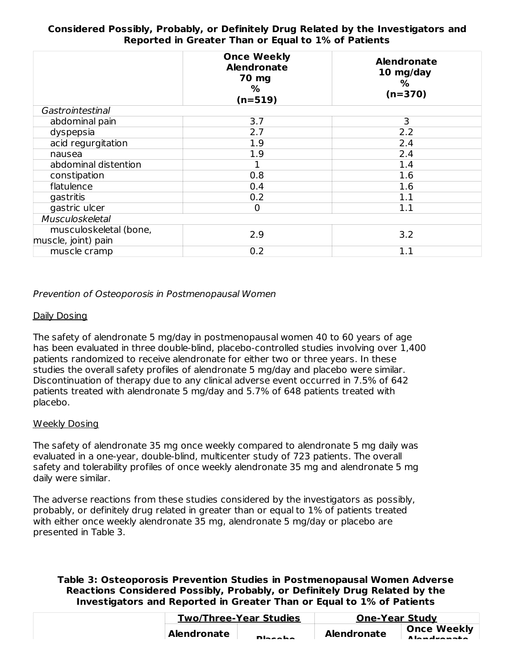| Considered Possibly, Probably, or Definitely Drug Related by the Investigators and |
|------------------------------------------------------------------------------------|
| Reported in Greater Than or Equal to 1% of Patients                                |

|                                               | <b>Once Weekly</b><br><b>Alendronate</b><br>70 mg<br>%<br>$(n=519)$ | <b>Alendronate</b><br>10 mg/day<br>%<br>$(n=370)$ |
|-----------------------------------------------|---------------------------------------------------------------------|---------------------------------------------------|
| Gastrointestinal                              |                                                                     |                                                   |
| abdominal pain                                | 3.7                                                                 | 3                                                 |
| dyspepsia                                     | 2.7                                                                 | 2.2                                               |
| acid regurgitation                            | 1.9                                                                 | 2.4                                               |
| nausea                                        | 1.9                                                                 | 2.4                                               |
| abdominal distention                          |                                                                     | 1.4                                               |
| constipation                                  | 0.8                                                                 | 1.6                                               |
| flatulence                                    | 0.4                                                                 | 1.6                                               |
| gastritis                                     | 0.2                                                                 | 1.1                                               |
| gastric ulcer                                 | 0                                                                   | 1.1                                               |
| Musculoskeletal                               |                                                                     |                                                   |
| musculoskeletal (bone,<br>muscle, joint) pain | 2.9                                                                 | 3.2                                               |
| muscle cramp                                  | 0.2                                                                 | 1.1                                               |

Prevention of Osteoporosis in Postmenopausal Women

### Daily Dosing

The safety of alendronate 5 mg/day in postmenopausal women 40 to 60 years of age has been evaluated in three double-blind, placebo-controlled studies involving over 1,400 patients randomized to receive alendronate for either two or three years. In these studies the overall safety profiles of alendronate 5 mg/day and placebo were similar. Discontinuation of therapy due to any clinical adverse event occurred in 7.5% of 642 patients treated with alendronate 5 mg/day and 5.7% of 648 patients treated with placebo.

### Weekly Dosing

The safety of alendronate 35 mg once weekly compared to alendronate 5 mg daily was evaluated in a one-year, double-blind, multicenter study of 723 patients. The overall safety and tolerability profiles of once weekly alendronate 35 mg and alendronate 5 mg daily were similar.

The adverse reactions from these studies considered by the investigators as possibly, probably, or definitely drug related in greater than or equal to 1% of patients treated with either once weekly alendronate 35 mg, alendronate 5 mg/day or placebo are presented in Table 3.

### **Table 3: Osteoporosis Prevention Studies in Postmenopausal Women Adverse Reactions Considered Possibly, Probably, or Definitely Drug Related by the Investigators and Reported in Greater Than or Equal to 1% of Patients**

|             | <b>Two/Three-Year Studies</b> | <b>One-Year Study</b> |                                        |
|-------------|-------------------------------|-----------------------|----------------------------------------|
| Alendronate | <b>Disaska</b>                | <b>Alendronate</b>    | <b>Once Weekly</b><br>Alemalus is a ba |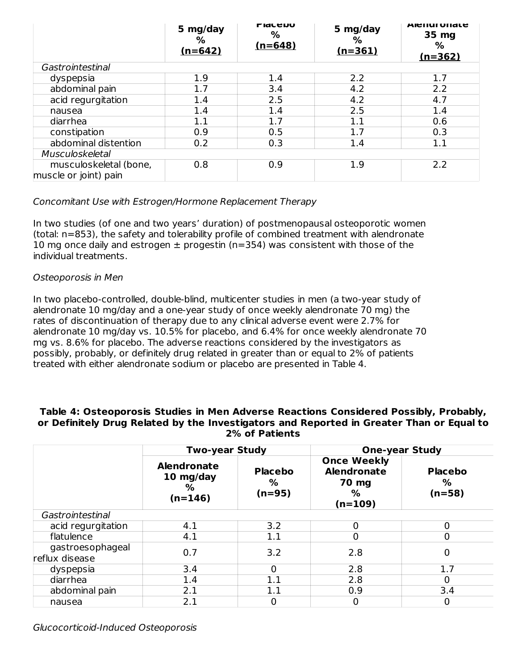|                        | 5 mg/day<br>%<br>$(n=642)$ | <b>FIGLEIJU</b><br>%<br>$(n=648)$ | 5 mg/day<br>%<br>$(n=361)$ | Alti Iui Vilatt<br>35 mg<br>%<br><u>(n=362)</u> |
|------------------------|----------------------------|-----------------------------------|----------------------------|-------------------------------------------------|
| Gastrointestinal       |                            |                                   |                            |                                                 |
| dyspepsia              | 1.9                        | 1.4                               | 2.2                        | 1.7                                             |
| abdominal pain         | 1.7                        | 3.4                               | 4.2                        | 2.2                                             |
| acid regurgitation     | 1.4                        | 2.5                               | 4.2                        | 4.7                                             |
| nausea                 | 1.4                        | 1.4                               | 2.5                        | 1.4                                             |
| diarrhea               | 1.1                        | 1.7                               | 1.1                        | 0.6                                             |
| constipation           | 0.9                        | 0.5                               | 1.7                        | 0.3                                             |
| abdominal distention   | 0.2                        | 0.3                               | 1.4                        | 1.1                                             |
| Musculoskeletal        |                            |                                   |                            |                                                 |
| musculoskeletal (bone, | 0.8                        | 0.9                               | 1.9                        | 2.2                                             |
| muscle or joint) pain  |                            |                                   |                            |                                                 |

# Concomitant Use with Estrogen/Hormone Replacement Therapy

In two studies (of one and two years' duration) of postmenopausal osteoporotic women (total: n=853), the safety and tolerability profile of combined treatment with alendronate 10 mg once daily and estrogen  $\pm$  progestin (n=354) was consistent with those of the individual treatments.

# Osteoporosis in Men

In two placebo-controlled, double-blind, multicenter studies in men (a two-year study of alendronate 10 mg/day and a one-year study of once weekly alendronate 70 mg) the rates of discontinuation of therapy due to any clinical adverse event were 2.7% for alendronate 10 mg/day vs. 10.5% for placebo, and 6.4% for once weekly alendronate 70 mg vs. 8.6% for placebo. The adverse reactions considered by the investigators as possibly, probably, or definitely drug related in greater than or equal to 2% of patients treated with either alendronate sodium or placebo are presented in Table 4.

#### **Table 4: Osteoporosis Studies in Men Adverse Reactions Considered Possibly, Probably, or Definitely Drug Related by the Investigators and Reported in Greater Than or Equal to 2% of Patients**

|                                    | <b>Two-year Study</b>                                                                                                                           |     | <b>One-year Study</b> |                                 |  |
|------------------------------------|-------------------------------------------------------------------------------------------------------------------------------------------------|-----|-----------------------|---------------------------------|--|
|                                    | <b>Alendronate</b><br><b>Alendronate</b><br><b>Placebo</b><br>10 mg/day<br>℅<br><b>70 mg</b><br>$\%$<br>$(n=95)$<br>%<br>$(n=146)$<br>$(n=109)$ |     | <b>Once Weekly</b>    | <b>Placebo</b><br>%<br>$(n=58)$ |  |
| Gastrointestinal                   |                                                                                                                                                 |     |                       |                                 |  |
| acid regurgitation                 | 4.1                                                                                                                                             | 3.2 | 0                     |                                 |  |
| flatulence                         | 4.1                                                                                                                                             | 1.1 | 0                     | 0                               |  |
| gastroesophageal<br>reflux disease | 0.7                                                                                                                                             | 3.2 | 2.8                   | $\Omega$                        |  |
| dyspepsia                          | 3.4                                                                                                                                             | 0   | 2.8                   | 1.7                             |  |
| diarrhea                           | 1.4                                                                                                                                             | 1.1 | 2.8                   |                                 |  |
| abdominal pain                     | 2.1                                                                                                                                             | 1.1 | 0.9                   | 3.4                             |  |
| nausea                             | 2.1                                                                                                                                             |     | 0                     |                                 |  |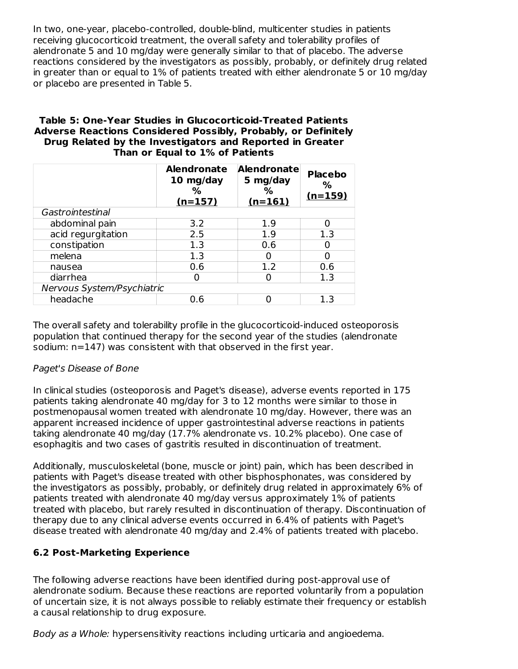In two, one-year, placebo-controlled, double-blind, multicenter studies in patients receiving glucocorticoid treatment, the overall safety and tolerability profiles of alendronate 5 and 10 mg/day were generally similar to that of placebo. The adverse reactions considered by the investigators as possibly, probably, or definitely drug related in greater than or equal to 1% of patients treated with either alendronate 5 or 10 mg/day or placebo are presented in Table 5.

### **Table 5: One-Year Studies in Glucocorticoid-Treated Patients Adverse Reactions Considered Possibly, Probably, or Definitely Drug Related by the Investigators and Reported in Greater Than or Equal to 1% of Patients**

|                            | <b>Alendronate</b><br>10 mg/day<br>%<br>$(n=157)$ | <b>Alendronate</b><br>5 mg/day<br>℅<br>$(n=161)$ | <b>Placebo</b><br>℅<br>$(n=159)$ |
|----------------------------|---------------------------------------------------|--------------------------------------------------|----------------------------------|
| Gastrointestinal           |                                                   |                                                  |                                  |
| abdominal pain             | 3.2                                               | 1.9                                              |                                  |
| acid regurgitation         | 2.5                                               | 1.9                                              | 1.3                              |
| constipation               | 1.3                                               | 0.6                                              |                                  |
| melena                     | 1.3                                               |                                                  |                                  |
| nausea                     | 0.6                                               | 1.2                                              | 0.6                              |
| diarrhea                   |                                                   |                                                  | 1.3                              |
| Nervous System/Psychiatric |                                                   |                                                  |                                  |
| headache                   | 0.6                                               |                                                  | 1 3                              |

The overall safety and tolerability profile in the glucocorticoid-induced osteoporosis population that continued therapy for the second year of the studies (alendronate sodium: n=147) was consistent with that observed in the first year.

# Paget's Disease of Bone

In clinical studies (osteoporosis and Paget's disease), adverse events reported in 175 patients taking alendronate 40 mg/day for 3 to 12 months were similar to those in postmenopausal women treated with alendronate 10 mg/day. However, there was an apparent increased incidence of upper gastrointestinal adverse reactions in patients taking alendronate 40 mg/day (17.7% alendronate vs. 10.2% placebo). One case of esophagitis and two cases of gastritis resulted in discontinuation of treatment.

Additionally, musculoskeletal (bone, muscle or joint) pain, which has been described in patients with Paget's disease treated with other bisphosphonates, was considered by the investigators as possibly, probably, or definitely drug related in approximately 6% of patients treated with alendronate 40 mg/day versus approximately 1% of patients treated with placebo, but rarely resulted in discontinuation of therapy. Discontinuation of therapy due to any clinical adverse events occurred in 6.4% of patients with Paget's disease treated with alendronate 40 mg/day and 2.4% of patients treated with placebo.

# **6.2 Post-Marketing Experience**

The following adverse reactions have been identified during post-approval use of alendronate sodium. Because these reactions are reported voluntarily from a population of uncertain size, it is not always possible to reliably estimate their frequency or establish a causal relationship to drug exposure.

Body as a Whole: hypersensitivity reactions including urticaria and angioedema.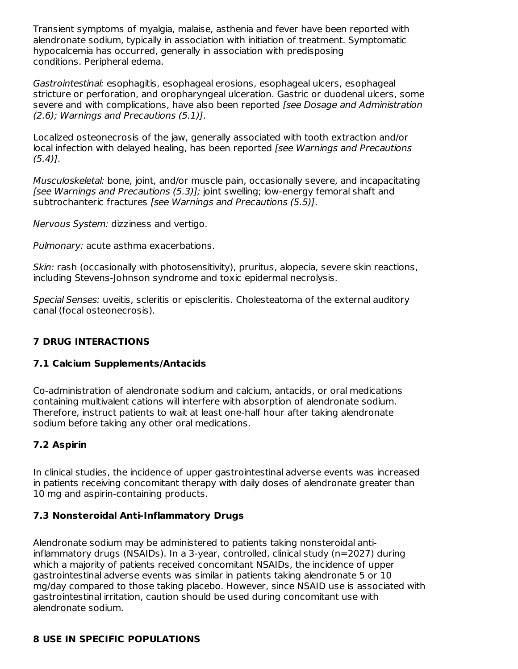Transient symptoms of myalgia, malaise, asthenia and fever have been reported with alendronate sodium, typically in association with initiation of treatment. Symptomatic hypocalcemia has occurred, generally in association with predisposing conditions. Peripheral edema.

Gastrointestinal: esophagitis, esophageal erosions, esophageal ulcers, esophageal stricture or perforation, and oropharyngeal ulceration. Gastric or duodenal ulcers, some severe and with complications, have also been reported [see Dosage and Administration (2.6); Warnings and Precautions (5.1)].

Localized osteonecrosis of the jaw, generally associated with tooth extraction and/or local infection with delayed healing, has been reported [see Warnings and Precautions  $(5.4)$ .

Musculoskeletal: bone, joint, and/or muscle pain, occasionally severe, and incapacitating [see Warnings and Precautions (5.3)]; joint swelling; low-energy femoral shaft and subtrochanteric fractures [see Warnings and Precautions (5.5)].

Nervous System: dizziness and vertigo.

Pulmonary: acute asthma exacerbations.

Skin: rash (occasionally with photosensitivity), pruritus, alopecia, severe skin reactions, including Stevens-Johnson syndrome and toxic epidermal necrolysis.

Special Senses: uveitis, scleritis or episcleritis. Cholesteatoma of the external auditory canal (focal osteonecrosis).

# **7 DRUG INTERACTIONS**

### **7.1 Calcium Supplements/Antacids**

Co-administration of alendronate sodium and calcium, antacids, or oral medications containing multivalent cations will interfere with absorption of alendronate sodium. Therefore, instruct patients to wait at least one-half hour after taking alendronate sodium before taking any other oral medications.

# **7.2 Aspirin**

In clinical studies, the incidence of upper gastrointestinal adverse events was increased in patients receiving concomitant therapy with daily doses of alendronate greater than 10 mg and aspirin-containing products.

# **7.3 Nonsteroidal Anti-Inflammatory Drugs**

Alendronate sodium may be administered to patients taking nonsteroidal antiinflammatory drugs (NSAIDs). In a 3-year, controlled, clinical study (n=2027) during which a majority of patients received concomitant NSAIDs, the incidence of upper gastrointestinal adverse events was similar in patients taking alendronate 5 or 10 mg/day compared to those taking placebo. However, since NSAID use is associated with gastrointestinal irritation, caution should be used during concomitant use with alendronate sodium.

# **8 USE IN SPECIFIC POPULATIONS**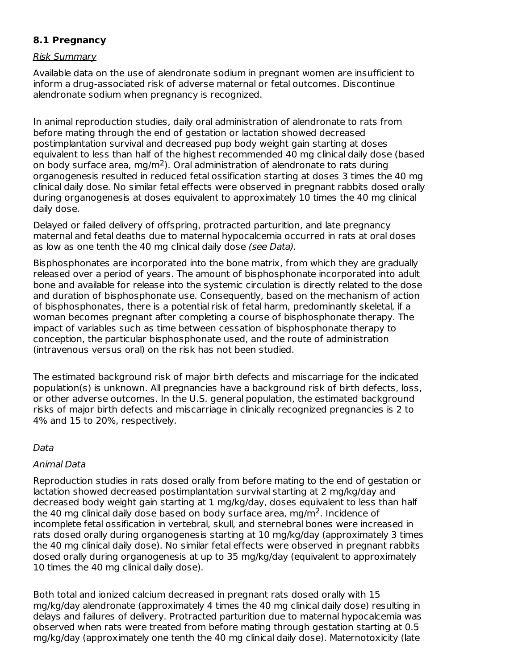# **8.1 Pregnancy**

### Risk Summary

Available data on the use of alendronate sodium in pregnant women are insufficient to inform a drug-associated risk of adverse maternal or fetal outcomes. Discontinue alendronate sodium when pregnancy is recognized.

In animal reproduction studies, daily oral administration of alendronate to rats from before mating through the end of gestation or lactation showed decreased postimplantation survival and decreased pup body weight gain starting at doses equivalent to less than half of the highest recommended 40 mg clinical daily dose (based on body surface area, mg/m<sup>2</sup>). Oral administration of alendronate to rats during organogenesis resulted in reduced fetal ossification starting at doses 3 times the 40 mg clinical daily dose. No similar fetal effects were observed in pregnant rabbits dosed orally during organogenesis at doses equivalent to approximately 10 times the 40 mg clinical daily dose.

Delayed or failed delivery of offspring, protracted parturition, and late pregnancy maternal and fetal deaths due to maternal hypocalcemia occurred in rats at oral doses as low as one tenth the 40 mg clinical daily dose (see Data).

Bisphosphonates are incorporated into the bone matrix, from which they are gradually released over a period of years. The amount of bisphosphonate incorporated into adult bone and available for release into the systemic circulation is directly related to the dose and duration of bisphosphonate use. Consequently, based on the mechanism of action of bisphosphonates, there is a potential risk of fetal harm, predominantly skeletal, if a woman becomes pregnant after completing a course of bisphosphonate therapy. The impact of variables such as time between cessation of bisphosphonate therapy to conception, the particular bisphosphonate used, and the route of administration (intravenous versus oral) on the risk has not been studied.

The estimated background risk of major birth defects and miscarriage for the indicated population(s) is unknown. All pregnancies have a background risk of birth defects, loss, or other adverse outcomes. In the U.S. general population, the estimated background risks of major birth defects and miscarriage in clinically recognized pregnancies is 2 to 4% and 15 to 20%, respectively.

# Data

# Animal Data

Reproduction studies in rats dosed orally from before mating to the end of gestation or lactation showed decreased postimplantation survival starting at 2 mg/kg/day and decreased body weight gain starting at 1 mg/kg/day, doses equivalent to less than half the 40 mg clinical daily dose based on body surface area, mg/m<sup>2</sup>. Incidence of incomplete fetal ossification in vertebral, skull, and sternebral bones were increased in rats dosed orally during organogenesis starting at 10 mg/kg/day (approximately 3 times the 40 mg clinical daily dose). No similar fetal effects were observed in pregnant rabbits dosed orally during organogenesis at up to 35 mg/kg/day (equivalent to approximately 10 times the 40 mg clinical daily dose).

Both total and ionized calcium decreased in pregnant rats dosed orally with 15 mg/kg/day alendronate (approximately 4 times the 40 mg clinical daily dose) resulting in delays and failures of delivery. Protracted parturition due to maternal hypocalcemia was observed when rats were treated from before mating through gestation starting at 0.5 mg/kg/day (approximately one tenth the 40 mg clinical daily dose). Maternotoxicity (late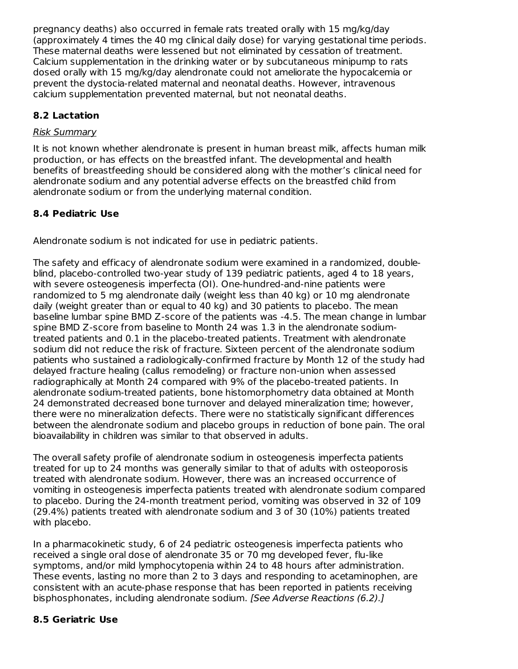pregnancy deaths) also occurred in female rats treated orally with 15 mg/kg/day (approximately 4 times the 40 mg clinical daily dose) for varying gestational time periods. These maternal deaths were lessened but not eliminated by cessation of treatment. Calcium supplementation in the drinking water or by subcutaneous minipump to rats dosed orally with 15 mg/kg/day alendronate could not ameliorate the hypocalcemia or prevent the dystocia-related maternal and neonatal deaths. However, intravenous calcium supplementation prevented maternal, but not neonatal deaths.

# **8.2 Lactation**

# Risk Summary

It is not known whether alendronate is present in human breast milk, affects human milk production, or has effects on the breastfed infant. The developmental and health benefits of breastfeeding should be considered along with the mother's clinical need for alendronate sodium and any potential adverse effects on the breastfed child from alendronate sodium or from the underlying maternal condition.

# **8.4 Pediatric Use**

Alendronate sodium is not indicated for use in pediatric patients.

The safety and efficacy of alendronate sodium were examined in a randomized, doubleblind, placebo-controlled two-year study of 139 pediatric patients, aged 4 to 18 years, with severe osteogenesis imperfecta (OI). One-hundred-and-nine patients were randomized to 5 mg alendronate daily (weight less than 40 kg) or 10 mg alendronate daily (weight greater than or equal to 40 kg) and 30 patients to placebo. The mean baseline lumbar spine BMD Z-score of the patients was -4.5. The mean change in lumbar spine BMD Z-score from baseline to Month 24 was 1.3 in the alendronate sodiumtreated patients and 0.1 in the placebo-treated patients. Treatment with alendronate sodium did not reduce the risk of fracture. Sixteen percent of the alendronate sodium patients who sustained a radiologically-confirmed fracture by Month 12 of the study had delayed fracture healing (callus remodeling) or fracture non-union when assessed radiographically at Month 24 compared with 9% of the placebo-treated patients. In alendronate sodium-treated patients, bone histomorphometry data obtained at Month 24 demonstrated decreased bone turnover and delayed mineralization time; however, there were no mineralization defects. There were no statistically significant differences between the alendronate sodium and placebo groups in reduction of bone pain. The oral bioavailability in children was similar to that observed in adults.

The overall safety profile of alendronate sodium in osteogenesis imperfecta patients treated for up to 24 months was generally similar to that of adults with osteoporosis treated with alendronate sodium. However, there was an increased occurrence of vomiting in osteogenesis imperfecta patients treated with alendronate sodium compared to placebo. During the 24-month treatment period, vomiting was observed in 32 of 109 (29.4%) patients treated with alendronate sodium and 3 of 30 (10%) patients treated with placebo.

In a pharmacokinetic study, 6 of 24 pediatric osteogenesis imperfecta patients who received a single oral dose of alendronate 35 or 70 mg developed fever, flu-like symptoms, and/or mild lymphocytopenia within 24 to 48 hours after administration. These events, lasting no more than 2 to 3 days and responding to acetaminophen, are consistent with an acute-phase response that has been reported in patients receiving bisphosphonates, including alendronate sodium. [See Adverse Reactions (6.2).]

# **8.5 Geriatric Use**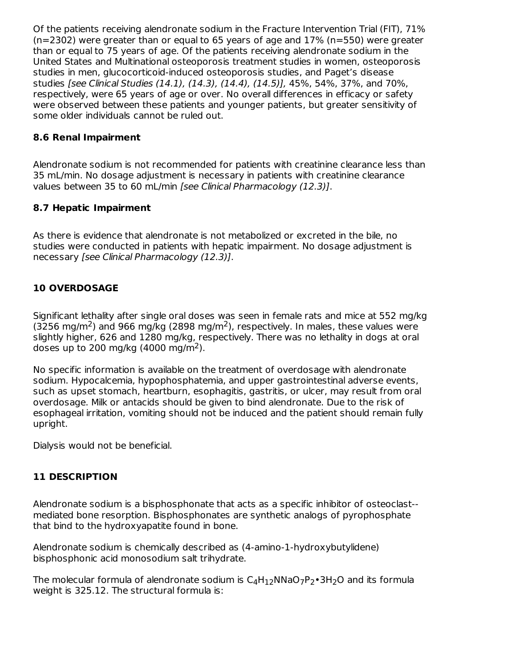Of the patients receiving alendronate sodium in the Fracture Intervention Trial (FIT), 71% (n=2302) were greater than or equal to 65 years of age and 17% (n=550) were greater than or equal to 75 years of age. Of the patients receiving alendronate sodium in the United States and Multinational osteoporosis treatment studies in women, osteoporosis studies in men, glucocorticoid-induced osteoporosis studies, and Paget's disease studies [see Clinical Studies (14.1), (14.3), (14.4), (14.5)], 45%, 54%, 37%, and 70%, respectively, were 65 years of age or over. No overall differences in efficacy or safety were observed between these patients and younger patients, but greater sensitivity of some older individuals cannot be ruled out.

# **8.6 Renal Impairment**

Alendronate sodium is not recommended for patients with creatinine clearance less than 35 mL/min. No dosage adjustment is necessary in patients with creatinine clearance values between 35 to 60 mL/min [see Clinical Pharmacology (12.3)].

### **8.7 Hepatic Impairment**

As there is evidence that alendronate is not metabolized or excreted in the bile, no studies were conducted in patients with hepatic impairment. No dosage adjustment is necessary [see Clinical Pharmacology (12.3)].

# **10 OVERDOSAGE**

Significant lethality after single oral doses was seen in female rats and mice at 552 mg/kg  $(3256 \text{ mg/m}^2)$  and 966 mg/kg  $(2898 \text{ mg/m}^2)$ , respectively. In males, these values were slightly higher, 626 and 1280 mg/kg, respectively. There was no lethality in dogs at oral doses up to 200 mg/kg (4000 mg/m<sup>2</sup>).

No specific information is available on the treatment of overdosage with alendronate sodium. Hypocalcemia, hypophosphatemia, and upper gastrointestinal adverse events, such as upset stomach, heartburn, esophagitis, gastritis, or ulcer, may result from oral overdosage. Milk or antacids should be given to bind alendronate. Due to the risk of esophageal irritation, vomiting should not be induced and the patient should remain fully upright.

Dialysis would not be beneficial.

# **11 DESCRIPTION**

Alendronate sodium is a bisphosphonate that acts as a specific inhibitor of osteoclast mediated bone resorption. Bisphosphonates are synthetic analogs of pyrophosphate that bind to the hydroxyapatite found in bone.

Alendronate sodium is chemically described as (4-amino-1-hydroxybutylidene) bisphosphonic acid monosodium salt trihydrate.

The molecular formula of alendronate sodium is  $\mathsf{C_4H_{12}NNaO_7P_2}\bullet$ 3H $_2$ O and its formula weight is 325.12. The structural formula is: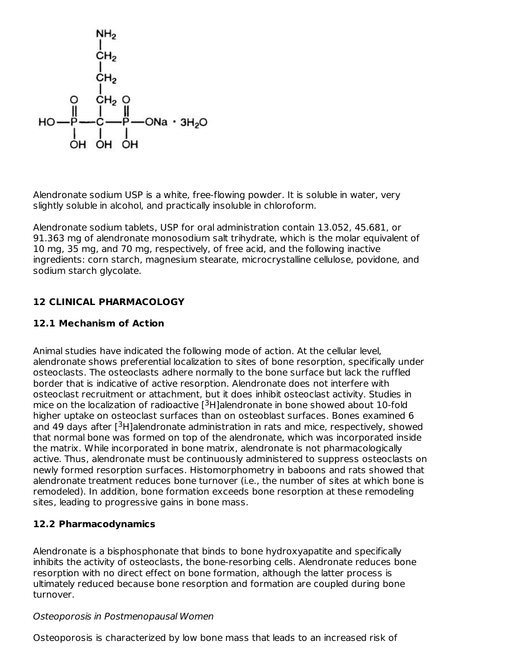

Alendronate sodium USP is a white, free-flowing powder. It is soluble in water, very slightly soluble in alcohol, and practically insoluble in chloroform.

Alendronate sodium tablets, USP for oral administration contain 13.052, 45.681, or 91.363 mg of alendronate monosodium salt trihydrate, which is the molar equivalent of 10 mg, 35 mg, and 70 mg, respectively, of free acid, and the following inactive ingredients: corn starch, magnesium stearate, microcrystalline cellulose, povidone, and sodium starch glycolate.

# **12 CLINICAL PHARMACOLOGY**

### **12.1 Mechanism of Action**

Animal studies have indicated the following mode of action. At the cellular level, alendronate shows preferential localization to sites of bone resorption, specifically under osteoclasts. The osteoclasts adhere normally to the bone surface but lack the ruffled border that is indicative of active resorption. Alendronate does not interfere with osteoclast recruitment or attachment, but it does inhibit osteoclast activity. Studies in mice on the localization of radioactive  $[{}^{3}H]$ alendronate in bone showed about 10-fold higher uptake on osteoclast surfaces than on osteoblast surfaces. Bones examined 6 and 49 days after [<sup>3</sup>H]alendronate administration in rats and mice, respectively, showed that normal bone was formed on top of the alendronate, which was incorporated inside the matrix. While incorporated in bone matrix, alendronate is not pharmacologically active. Thus, alendronate must be continuously administered to suppress osteoclasts on newly formed resorption surfaces. Histomorphometry in baboons and rats showed that alendronate treatment reduces bone turnover (i.e., the number of sites at which bone is remodeled). In addition, bone formation exceeds bone resorption at these remodeling sites, leading to progressive gains in bone mass.

### **12.2 Pharmacodynamics**

Alendronate is a bisphosphonate that binds to bone hydroxyapatite and specifically inhibits the activity of osteoclasts, the bone-resorbing cells. Alendronate reduces bone resorption with no direct effect on bone formation, although the latter process is ultimately reduced because bone resorption and formation are coupled during bone turnover.

### Osteoporosis in Postmenopausal Women

Osteoporosis is characterized by low bone mass that leads to an increased risk of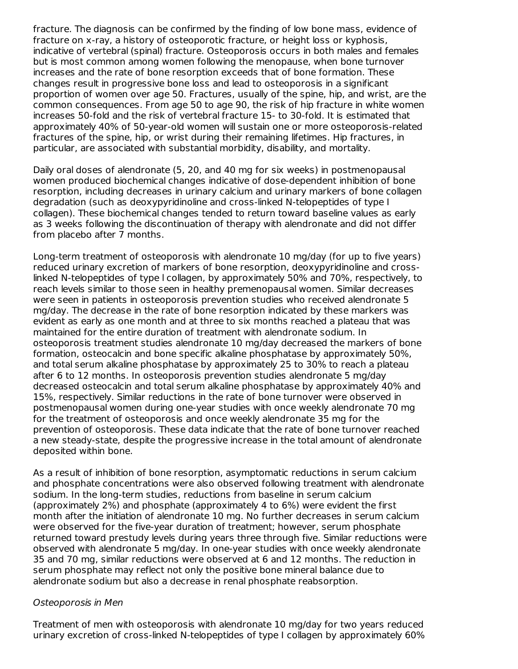fracture. The diagnosis can be confirmed by the finding of low bone mass, evidence of fracture on x-ray, a history of osteoporotic fracture, or height loss or kyphosis, indicative of vertebral (spinal) fracture. Osteoporosis occurs in both males and females but is most common among women following the menopause, when bone turnover increases and the rate of bone resorption exceeds that of bone formation. These changes result in progressive bone loss and lead to osteoporosis in a significant proportion of women over age 50. Fractures, usually of the spine, hip, and wrist, are the common consequences. From age 50 to age 90, the risk of hip fracture in white women increases 50-fold and the risk of vertebral fracture 15- to 30-fold. It is estimated that approximately 40% of 50-year-old women will sustain one or more osteoporosis-related fractures of the spine, hip, or wrist during their remaining lifetimes. Hip fractures, in particular, are associated with substantial morbidity, disability, and mortality.

Daily oral doses of alendronate (5, 20, and 40 mg for six weeks) in postmenopausal women produced biochemical changes indicative of dose-dependent inhibition of bone resorption, including decreases in urinary calcium and urinary markers of bone collagen degradation (such as deoxypyridinoline and cross-linked N-telopeptides of type I collagen). These biochemical changes tended to return toward baseline values as early as 3 weeks following the discontinuation of therapy with alendronate and did not differ from placebo after 7 months.

Long-term treatment of osteoporosis with alendronate 10 mg/day (for up to five years) reduced urinary excretion of markers of bone resorption, deoxypyridinoline and crosslinked N-telopeptides of type l collagen, by approximately 50% and 70%, respectively, to reach levels similar to those seen in healthy premenopausal women. Similar decreases were seen in patients in osteoporosis prevention studies who received alendronate 5 mg/day. The decrease in the rate of bone resorption indicated by these markers was evident as early as one month and at three to six months reached a plateau that was maintained for the entire duration of treatment with alendronate sodium. In osteoporosis treatment studies alendronate 10 mg/day decreased the markers of bone formation, osteocalcin and bone specific alkaline phosphatase by approximately 50%, and total serum alkaline phosphatase by approximately 25 to 30% to reach a plateau after 6 to 12 months. In osteoporosis prevention studies alendronate 5 mg/day decreased osteocalcin and total serum alkaline phosphatase by approximately 40% and 15%, respectively. Similar reductions in the rate of bone turnover were observed in postmenopausal women during one-year studies with once weekly alendronate 70 mg for the treatment of osteoporosis and once weekly alendronate 35 mg for the prevention of osteoporosis. These data indicate that the rate of bone turnover reached a new steady-state, despite the progressive increase in the total amount of alendronate deposited within bone.

As a result of inhibition of bone resorption, asymptomatic reductions in serum calcium and phosphate concentrations were also observed following treatment with alendronate sodium. In the long-term studies, reductions from baseline in serum calcium (approximately 2%) and phosphate (approximately 4 to 6%) were evident the first month after the initiation of alendronate 10 mg. No further decreases in serum calcium were observed for the five-year duration of treatment; however, serum phosphate returned toward prestudy levels during years three through five. Similar reductions were observed with alendronate 5 mg/day. In one-year studies with once weekly alendronate 35 and 70 mg, similar reductions were observed at 6 and 12 months. The reduction in serum phosphate may reflect not only the positive bone mineral balance due to alendronate sodium but also a decrease in renal phosphate reabsorption.

### Osteoporosis in Men

Treatment of men with osteoporosis with alendronate 10 mg/day for two years reduced urinary excretion of cross-linked N-telopeptides of type I collagen by approximately 60%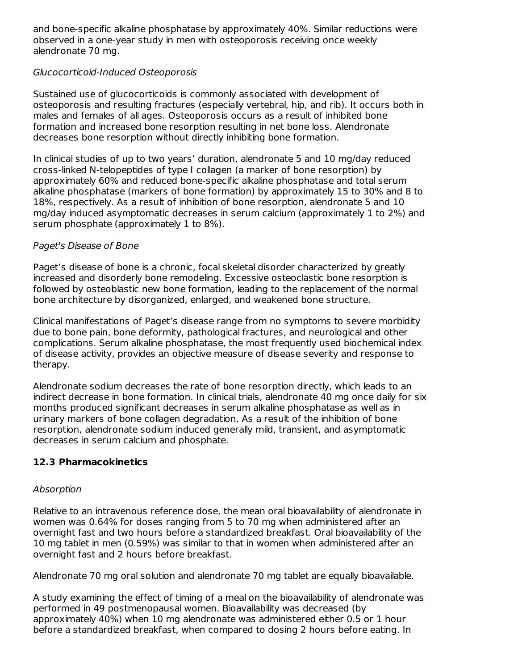and bone-specific alkaline phosphatase by approximately 40%. Similar reductions were observed in a one-year study in men with osteoporosis receiving once weekly alendronate 70 mg.

### Glucocorticoid-Induced Osteoporosis

Sustained use of glucocorticoids is commonly associated with development of osteoporosis and resulting fractures (especially vertebral, hip, and rib). It occurs both in males and females of all ages. Osteoporosis occurs as a result of inhibited bone formation and increased bone resorption resulting in net bone loss. Alendronate decreases bone resorption without directly inhibiting bone formation.

In clinical studies of up to two years' duration, alendronate 5 and 10 mg/day reduced cross-linked N-telopeptides of type I collagen (a marker of bone resorption) by approximately 60% and reduced bone-specific alkaline phosphatase and total serum alkaline phosphatase (markers of bone formation) by approximately 15 to 30% and 8 to 18%, respectively. As a result of inhibition of bone resorption, alendronate 5 and 10 mg/day induced asymptomatic decreases in serum calcium (approximately 1 to 2%) and serum phosphate (approximately 1 to 8%).

### Paget's Disease of Bone

Paget's disease of bone is a chronic, focal skeletal disorder characterized by greatly increased and disorderly bone remodeling. Excessive osteoclastic bone resorption is followed by osteoblastic new bone formation, leading to the replacement of the normal bone architecture by disorganized, enlarged, and weakened bone structure.

Clinical manifestations of Paget's disease range from no symptoms to severe morbidity due to bone pain, bone deformity, pathological fractures, and neurological and other complications. Serum alkaline phosphatase, the most frequently used biochemical index of disease activity, provides an objective measure of disease severity and response to therapy.

Alendronate sodium decreases the rate of bone resorption directly, which leads to an indirect decrease in bone formation. In clinical trials, alendronate 40 mg once daily for six months produced significant decreases in serum alkaline phosphatase as well as in urinary markers of bone collagen degradation. As a result of the inhibition of bone resorption, alendronate sodium induced generally mild, transient, and asymptomatic decreases in serum calcium and phosphate.

# **12.3 Pharmacokinetics**

### Absorption

Relative to an intravenous reference dose, the mean oral bioavailability of alendronate in women was 0.64% for doses ranging from 5 to 70 mg when administered after an overnight fast and two hours before a standardized breakfast. Oral bioavailability of the 10 mg tablet in men (0.59%) was similar to that in women when administered after an overnight fast and 2 hours before breakfast.

Alendronate 70 mg oral solution and alendronate 70 mg tablet are equally bioavailable.

A study examining the effect of timing of a meal on the bioavailability of alendronate was performed in 49 postmenopausal women. Bioavailability was decreased (by approximately 40%) when 10 mg alendronate was administered either 0.5 or 1 hour before a standardized breakfast, when compared to dosing 2 hours before eating. In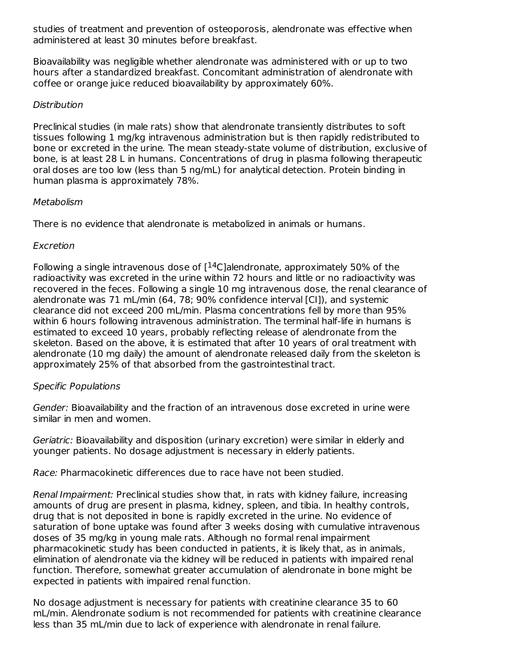studies of treatment and prevention of osteoporosis, alendronate was effective when administered at least 30 minutes before breakfast.

Bioavailability was negligible whether alendronate was administered with or up to two hours after a standardized breakfast. Concomitant administration of alendronate with coffee or orange juice reduced bioavailability by approximately 60%.

### Distribution

Preclinical studies (in male rats) show that alendronate transiently distributes to soft tissues following 1 mg/kg intravenous administration but is then rapidly redistributed to bone or excreted in the urine. The mean steady-state volume of distribution, exclusive of bone, is at least 28 L in humans. Concentrations of drug in plasma following therapeutic oral doses are too low (less than 5 ng/mL) for analytical detection. Protein binding in human plasma is approximately 78%.

### Metabolism

There is no evidence that alendronate is metabolized in animals or humans.

# Excretion

Following a single intravenous dose of  $[$ <sup>14</sup>C]alendronate, approximately 50% of the radioactivity was excreted in the urine within 72 hours and little or no radioactivity was recovered in the feces. Following a single 10 mg intravenous dose, the renal clearance of alendronate was 71 mL/min (64, 78; 90% confidence interval [CI]), and systemic clearance did not exceed 200 mL/min. Plasma concentrations fell by more than 95% within 6 hours following intravenous administration. The terminal half-life in humans is estimated to exceed 10 years, probably reflecting release of alendronate from the skeleton. Based on the above, it is estimated that after 10 years of oral treatment with alendronate (10 mg daily) the amount of alendronate released daily from the skeleton is approximately 25% of that absorbed from the gastrointestinal tract.

# Specific Populations

Gender: Bioavailability and the fraction of an intravenous dose excreted in urine were similar in men and women.

Geriatric: Bioavailability and disposition (urinary excretion) were similar in elderly and younger patients. No dosage adjustment is necessary in elderly patients.

Race: Pharmacokinetic differences due to race have not been studied.

Renal Impairment: Preclinical studies show that, in rats with kidney failure, increasing amounts of drug are present in plasma, kidney, spleen, and tibia. In healthy controls, drug that is not deposited in bone is rapidly excreted in the urine. No evidence of saturation of bone uptake was found after 3 weeks dosing with cumulative intravenous doses of 35 mg/kg in young male rats. Although no formal renal impairment pharmacokinetic study has been conducted in patients, it is likely that, as in animals, elimination of alendronate via the kidney will be reduced in patients with impaired renal function. Therefore, somewhat greater accumulation of alendronate in bone might be expected in patients with impaired renal function.

No dosage adjustment is necessary for patients with creatinine clearance 35 to 60 mL/min. Alendronate sodium is not recommended for patients with creatinine clearance less than 35 mL/min due to lack of experience with alendronate in renal failure.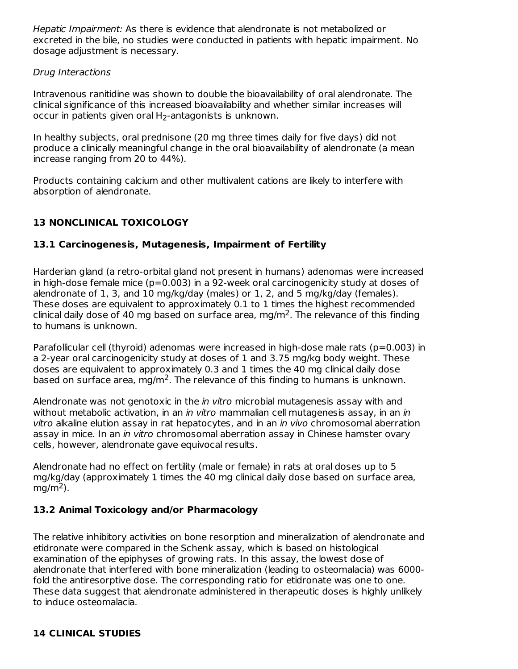Hepatic Impairment: As there is evidence that alendronate is not metabolized or excreted in the bile, no studies were conducted in patients with hepatic impairment. No dosage adjustment is necessary.

### Drug Interactions

Intravenous ranitidine was shown to double the bioavailability of oral alendronate. The clinical significance of this increased bioavailability and whether similar increases will occur in patients given oral H<sub>2</sub>-antagonists is unknown.

In healthy subjects, oral prednisone (20 mg three times daily for five days) did not produce a clinically meaningful change in the oral bioavailability of alendronate (a mean increase ranging from 20 to 44%).

Products containing calcium and other multivalent cations are likely to interfere with absorption of alendronate.

# **13 NONCLINICAL TOXICOLOGY**

### **13.1 Carcinogenesis, Mutagenesis, Impairment of Fertility**

Harderian gland (a retro-orbital gland not present in humans) adenomas were increased in high-dose female mice ( $p=0.003$ ) in a 92-week oral carcinogenicity study at doses of alendronate of 1, 3, and 10 mg/kg/day (males) or 1, 2, and 5 mg/kg/day (females). These doses are equivalent to approximately 0.1 to 1 times the highest recommended clinical daily dose of 40 mg based on surface area, mg/m<sup>2</sup>. The relevance of this finding to humans is unknown.

Parafollicular cell (thyroid) adenomas were increased in high-dose male rats ( $p=0.003$ ) in a 2-year oral carcinogenicity study at doses of 1 and 3.75 mg/kg body weight. These doses are equivalent to approximately 0.3 and 1 times the 40 mg clinical daily dose based on surface area, mg/m<sup>2</sup>. The relevance of this finding to humans is unknown.

Alendronate was not genotoxic in the *in vitro* microbial mutagenesis assay with and without metabolic activation, in an *in vitro* mammalian cell mutagenesis assay, in an *in* vitro alkaline elution assay in rat hepatocytes, and in an in vivo chromosomal aberration assay in mice. In an *in vitro* chromosomal aberration assay in Chinese hamster ovary cells, however, alendronate gave equivocal results.

Alendronate had no effect on fertility (male or female) in rats at oral doses up to 5 mg/kg/day (approximately 1 times the 40 mg clinical daily dose based on surface area,  $mg/m<sup>2</sup>$ ).

### **13.2 Animal Toxicology and/or Pharmacology**

The relative inhibitory activities on bone resorption and mineralization of alendronate and etidronate were compared in the Schenk assay, which is based on histological examination of the epiphyses of growing rats. In this assay, the lowest dose of alendronate that interfered with bone mineralization (leading to osteomalacia) was 6000 fold the antiresorptive dose. The corresponding ratio for etidronate was one to one. These data suggest that alendronate administered in therapeutic doses is highly unlikely to induce osteomalacia.

# **14 CLINICAL STUDIES**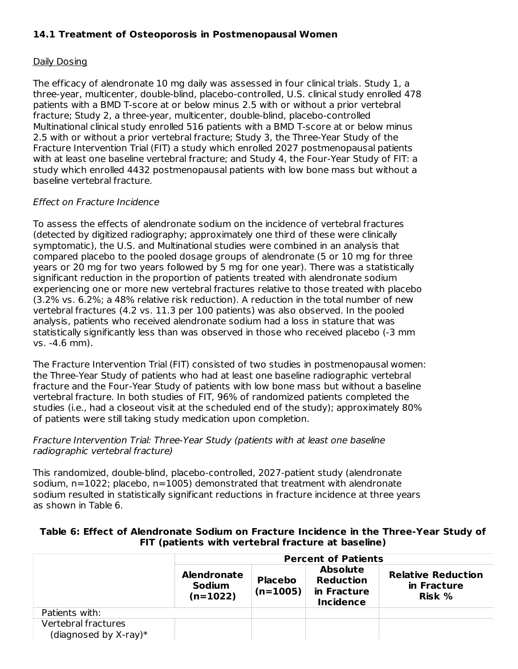# **14.1 Treatment of Osteoporosis in Postmenopausal Women**

### Daily Dosing

The efficacy of alendronate 10 mg daily was assessed in four clinical trials. Study 1, a three-year, multicenter, double-blind, placebo-controlled, U.S. clinical study enrolled 478 patients with a BMD T-score at or below minus 2.5 with or without a prior vertebral fracture; Study 2, a three-year, multicenter, double-blind, placebo-controlled Multinational clinical study enrolled 516 patients with a BMD T-score at or below minus 2.5 with or without a prior vertebral fracture; Study 3, the Three-Year Study of the Fracture Intervention Trial (FIT) a study which enrolled 2027 postmenopausal patients with at least one baseline vertebral fracture; and Study 4, the Four-Year Study of FIT: a study which enrolled 4432 postmenopausal patients with low bone mass but without a baseline vertebral fracture.

### Effect on Fracture Incidence

To assess the effects of alendronate sodium on the incidence of vertebral fractures (detected by digitized radiography; approximately one third of these were clinically symptomatic), the U.S. and Multinational studies were combined in an analysis that compared placebo to the pooled dosage groups of alendronate (5 or 10 mg for three years or 20 mg for two years followed by 5 mg for one year). There was a statistically significant reduction in the proportion of patients treated with alendronate sodium experiencing one or more new vertebral fractures relative to those treated with placebo (3.2% vs. 6.2%; a 48% relative risk reduction). A reduction in the total number of new vertebral fractures (4.2 vs. 11.3 per 100 patients) was also observed. In the pooled analysis, patients who received alendronate sodium had a loss in stature that was statistically significantly less than was observed in those who received placebo (-3 mm vs. -4.6 mm).

The Fracture Intervention Trial (FIT) consisted of two studies in postmenopausal women: the Three-Year Study of patients who had at least one baseline radiographic vertebral fracture and the Four-Year Study of patients with low bone mass but without a baseline vertebral fracture. In both studies of FIT, 96% of randomized patients completed the studies (i.e., had a closeout visit at the scheduled end of the study); approximately 80% of patients were still taking study medication upon completion.

### Fracture Intervention Trial: Three-Year Study (patients with at least one baseline radiographic vertebral fracture)

This randomized, double-blind, placebo-controlled, 2027-patient study (alendronate sodium, n=1022; placebo, n=1005) demonstrated that treatment with alendronate sodium resulted in statistically significant reductions in fracture incidence at three years as shown in Table 6.

### **Table 6: Effect of Alendronate Sodium on Fracture Incidence in the Three-Year Study of FIT (patients with vertebral fracture at baseline)**

|                                                 | <b>Percent of Patients</b>                        |                              |                                                                        |                                                    |  |  |
|-------------------------------------------------|---------------------------------------------------|------------------------------|------------------------------------------------------------------------|----------------------------------------------------|--|--|
|                                                 | <b>Alendronate</b><br><b>Sodium</b><br>$(n=1022)$ | <b>Placebo</b><br>$(n=1005)$ | <b>Absolute</b><br><b>Reduction</b><br>in Fracture<br><b>Incidence</b> | <b>Relative Reduction</b><br>in Fracture<br>Risk % |  |  |
| Patients with:                                  |                                                   |                              |                                                                        |                                                    |  |  |
| Vertebral fractures<br>(diagnosed by X-ray) $*$ |                                                   |                              |                                                                        |                                                    |  |  |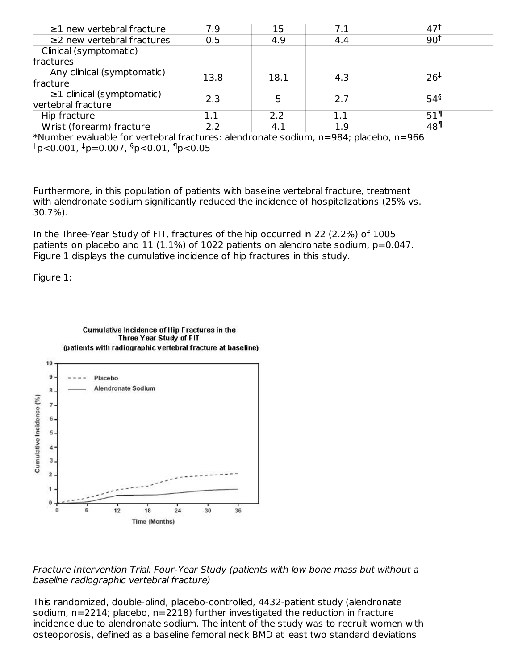| $\geq$ 1 new vertebral fracture  | 7.9  | 15   | 7.1     | 471             |
|----------------------------------|------|------|---------|-----------------|
| $\geq$ 2 new vertebral fractures | 0.5  | 4.9  | 4.4     | 90 <sup>†</sup> |
| Clinical (symptomatic)           |      |      |         |                 |
| fractures                        |      |      |         |                 |
| Any clinical (symptomatic)       | 13.8 | 18.1 | 4.3     | 26 <sup>‡</sup> |
| fracture                         |      |      |         |                 |
| $\geq$ 1 clinical (symptomatic)  | 2.3  | 5    | 2.7     | 54 <sup>§</sup> |
| vertebral fracture               |      |      |         |                 |
| Hip fracture                     | 1.1  | 2.2  | $1.1\,$ | 511             |
| Wrist (forearm) fracture         | 22   | 4.1  | 1.9     | 48¶             |

\*Number evaluable for vertebral fractures: alendronate sodium, n=984; placebo, n=966 <sup>t</sup>p<0.001, <sup>‡</sup>p=0.007, <sup>§</sup>p<0.01, <sup>¶</sup>p<0.05

Furthermore, in this population of patients with baseline vertebral fracture, treatment with alendronate sodium significantly reduced the incidence of hospitalizations (25% vs. 30.7%).

In the Three-Year Study of FIT, fractures of the hip occurred in 22 (2.2%) of 1005 patients on placebo and 11 (1.1%) of 1022 patients on alendronate sodium, p=0.047. Figure 1 displays the cumulative incidence of hip fractures in this study.

Figure 1:







This randomized, double-blind, placebo-controlled, 4432-patient study (alendronate sodium, n=2214; placebo, n=2218) further investigated the reduction in fracture incidence due to alendronate sodium. The intent of the study was to recruit women with osteoporosis, defined as a baseline femoral neck BMD at least two standard deviations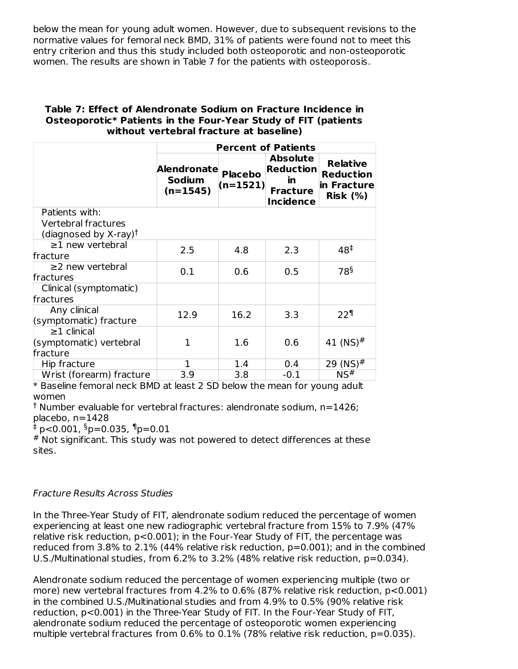below the mean for young adult women. However, due to subsequent revisions to the normative values for femoral neck BMD, 31% of patients were found not to meet this entry criterion and thus this study included both osteoporotic and non-osteoporotic women. The results are shown in Table 7 for the patients with osteoporosis.

### **Table 7: Effect of Alendronate Sodium on Fracture Incidence in Osteoporotic\* Patients in the Four-Year Study of FIT (patients without vertebral fracture at baseline)**

|                                                                 | <b>Percent of Patients</b>                        |                              |                                                                                  |                                                               |  |
|-----------------------------------------------------------------|---------------------------------------------------|------------------------------|----------------------------------------------------------------------------------|---------------------------------------------------------------|--|
|                                                                 | <b>Alendronate</b><br><b>Sodium</b><br>$(n=1545)$ | <b>Placebo</b><br>$(n=1521)$ | <b>Absolute</b><br><b>Reduction</b><br>īn<br><b>Fracture</b><br><b>Incidence</b> | <b>Relative</b><br><b>Reduction</b><br>in Fracture<br>Risk(%) |  |
| Patients with:                                                  |                                                   |                              |                                                                                  |                                                               |  |
| <b>Vertebral fractures</b><br>(diagnosed by X-ray) <sup>†</sup> |                                                   |                              |                                                                                  |                                                               |  |
| $\geq$ 1 new vertebral<br>fracture                              | 2.5                                               | 4.8                          | 2.3                                                                              | 48‡                                                           |  |
| $\geq$ new vertebral<br>fractures                               | 0.1                                               | 0.6                          | 0.5                                                                              | 78 <sup>§</sup>                                               |  |
| Clinical (symptomatic)<br>fractures                             |                                                   |                              |                                                                                  |                                                               |  |
| Any clinical<br>(symptomatic) fracture                          | 12.9                                              | 16.2                         | 3.3                                                                              | 22 <sup>1</sup>                                               |  |
| $\geq$ 1 clinical<br>(symptomatic) vertebral<br>fracture        | 1                                                 | 1.6                          | 0.6                                                                              | 41 (NS) $#$                                                   |  |
| Hip fracture                                                    | 1                                                 | 1.4                          | 0.4                                                                              | 29 (NS) $#$                                                   |  |
| Wrist (forearm) fracture                                        | 3.9                                               | 3.8                          | $-0.1$                                                                           | NS <sup>#</sup>                                               |  |

\* Baseline femoral neck BMD at least 2 SD below the mean for young adult women

<sup>†</sup> Number evaluable for vertebral fractures: alendronate sodium, n=1426; placebo, n=1428

p<0.001, p=0.035, p=0.01 ‡ § ¶

 $*$  Not significant. This study was not powered to detect differences at these sites.

# Fracture Results Across Studies

In the Three-Year Study of FIT, alendronate sodium reduced the percentage of women experiencing at least one new radiographic vertebral fracture from 15% to 7.9% (47% relative risk reduction, p<0.001); in the Four-Year Study of FIT, the percentage was reduced from 3.8% to 2.1% (44% relative risk reduction,  $p=0.001$ ); and in the combined U.S./Multinational studies, from 6.2% to 3.2% (48% relative risk reduction, p=0.034).

Alendronate sodium reduced the percentage of women experiencing multiple (two or more) new vertebral fractures from 4.2% to 0.6% (87% relative risk reduction, p<0.001) in the combined U.S./Multinational studies and from 4.9% to 0.5% (90% relative risk reduction, p<0.001) in the Three-Year Study of FIT. In the Four-Year Study of FIT, alendronate sodium reduced the percentage of osteoporotic women experiencing multiple vertebral fractures from 0.6% to 0.1% (78% relative risk reduction, p=0.035).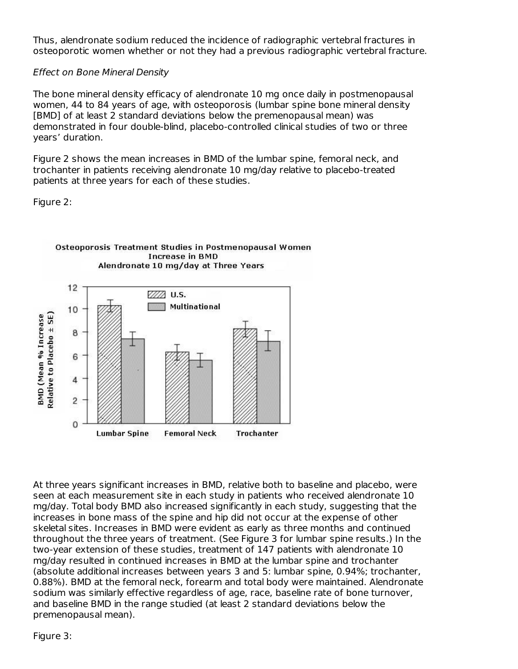Thus, alendronate sodium reduced the incidence of radiographic vertebral fractures in osteoporotic women whether or not they had a previous radiographic vertebral fracture.

### Effect on Bone Mineral Density

The bone mineral density efficacy of alendronate 10 mg once daily in postmenopausal women, 44 to 84 years of age, with osteoporosis (lumbar spine bone mineral density [BMD] of at least 2 standard deviations below the premenopausal mean) was demonstrated in four double-blind, placebo-controlled clinical studies of two or three years' duration.

Figure 2 shows the mean increases in BMD of the lumbar spine, femoral neck, and trochanter in patients receiving alendronate 10 mg/day relative to placebo-treated patients at three years for each of these studies.

Figure 2:



At three years significant increases in BMD, relative both to baseline and placebo, were seen at each measurement site in each study in patients who received alendronate 10 mg/day. Total body BMD also increased significantly in each study, suggesting that the increases in bone mass of the spine and hip did not occur at the expense of other skeletal sites. Increases in BMD were evident as early as three months and continued throughout the three years of treatment. (See Figure 3 for lumbar spine results.) In the two-year extension of these studies, treatment of 147 patients with alendronate 10 mg/day resulted in continued increases in BMD at the lumbar spine and trochanter (absolute additional increases between years 3 and 5: lumbar spine, 0.94%; trochanter, 0.88%). BMD at the femoral neck, forearm and total body were maintained. Alendronate sodium was similarly effective regardless of age, race, baseline rate of bone turnover, and baseline BMD in the range studied (at least 2 standard deviations below the premenopausal mean).

Figure 3: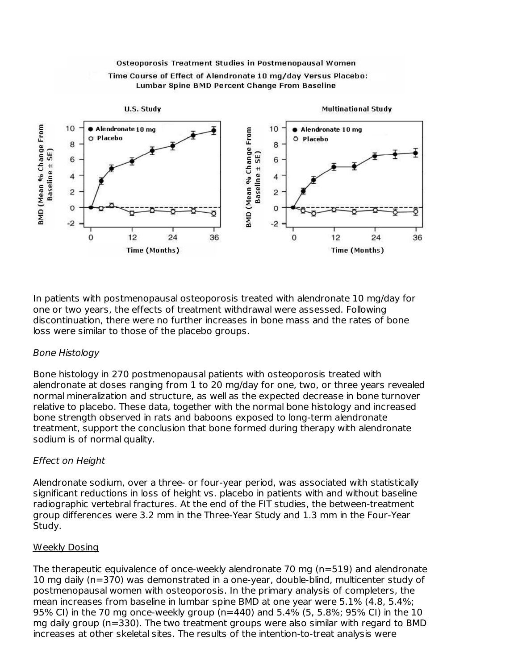

Osteoporosis Treatment Studies in Postmenopausal Women Time Course of Effect of Alendronate 10 mg/day Versus Placebo:

In patients with postmenopausal osteoporosis treated with alendronate 10 mg/day for one or two years, the effects of treatment withdrawal were assessed. Following discontinuation, there were no further increases in bone mass and the rates of bone loss were similar to those of the placebo groups.

### Bone Histology

Bone histology in 270 postmenopausal patients with osteoporosis treated with alendronate at doses ranging from 1 to 20 mg/day for one, two, or three years revealed normal mineralization and structure, as well as the expected decrease in bone turnover relative to placebo. These data, together with the normal bone histology and increased bone strength observed in rats and baboons exposed to long-term alendronate treatment, support the conclusion that bone formed during therapy with alendronate sodium is of normal quality.

# Effect on Height

Alendronate sodium, over a three- or four-year period, was associated with statistically significant reductions in loss of height vs. placebo in patients with and without baseline radiographic vertebral fractures. At the end of the FIT studies, the between-treatment group differences were 3.2 mm in the Three-Year Study and 1.3 mm in the Four-Year Study.

### Weekly Dosing

The therapeutic equivalence of once-weekly alendronate 70 mg (n=519) and alendronate 10 mg daily (n=370) was demonstrated in a one-year, double-blind, multicenter study of postmenopausal women with osteoporosis. In the primary analysis of completers, the mean increases from baseline in lumbar spine BMD at one year were 5.1% (4.8, 5.4%; 95% CI) in the 70 mg once-weekly group (n=440) and 5.4% (5, 5.8%; 95% CI) in the 10 mg daily group (n=330). The two treatment groups were also similar with regard to BMD increases at other skeletal sites. The results of the intention-to-treat analysis were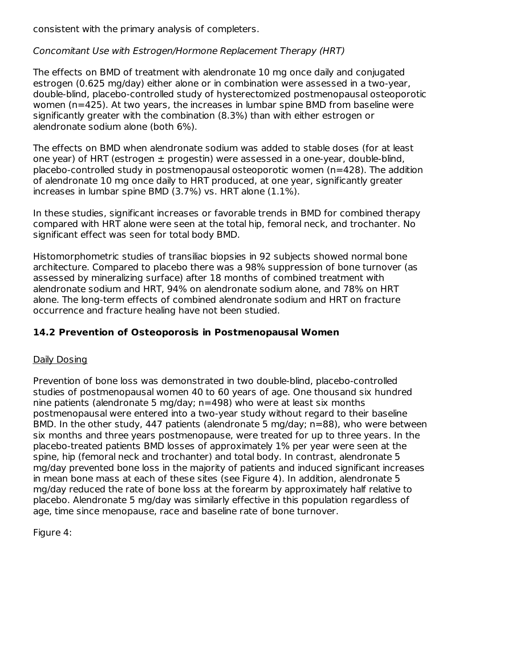consistent with the primary analysis of completers.

### Concomitant Use with Estrogen/Hormone Replacement Therapy (HRT)

The effects on BMD of treatment with alendronate 10 mg once daily and conjugated estrogen (0.625 mg/day) either alone or in combination were assessed in a two-year, double-blind, placebo-controlled study of hysterectomized postmenopausal osteoporotic women (n=425). At two years, the increases in lumbar spine BMD from baseline were significantly greater with the combination (8.3%) than with either estrogen or alendronate sodium alone (both 6%).

The effects on BMD when alendronate sodium was added to stable doses (for at least one year) of HRT (estrogen  $\pm$  progestin) were assessed in a one-year, double-blind, placebo-controlled study in postmenopausal osteoporotic women (n=428). The addition of alendronate 10 mg once daily to HRT produced, at one year, significantly greater increases in lumbar spine BMD (3.7%) vs. HRT alone (1.1%).

In these studies, significant increases or favorable trends in BMD for combined therapy compared with HRT alone were seen at the total hip, femoral neck, and trochanter. No significant effect was seen for total body BMD.

Histomorphometric studies of transiliac biopsies in 92 subjects showed normal bone architecture. Compared to placebo there was a 98% suppression of bone turnover (as assessed by mineralizing surface) after 18 months of combined treatment with alendronate sodium and HRT, 94% on alendronate sodium alone, and 78% on HRT alone. The long-term effects of combined alendronate sodium and HRT on fracture occurrence and fracture healing have not been studied.

### **14.2 Prevention of Osteoporosis in Postmenopausal Women**

### Daily Dosing

Prevention of bone loss was demonstrated in two double-blind, placebo-controlled studies of postmenopausal women 40 to 60 years of age. One thousand six hundred nine patients (alendronate 5 mg/day; n=498) who were at least six months postmenopausal were entered into a two-year study without regard to their baseline BMD. In the other study, 447 patients (alendronate 5 mg/day; n=88), who were between six months and three years postmenopause, were treated for up to three years. In the placebo-treated patients BMD losses of approximately 1% per year were seen at the spine, hip (femoral neck and trochanter) and total body. In contrast, alendronate 5 mg/day prevented bone loss in the majority of patients and induced significant increases in mean bone mass at each of these sites (see Figure 4). In addition, alendronate 5 mg/day reduced the rate of bone loss at the forearm by approximately half relative to placebo. Alendronate 5 mg/day was similarly effective in this population regardless of age, time since menopause, race and baseline rate of bone turnover.

Figure 4: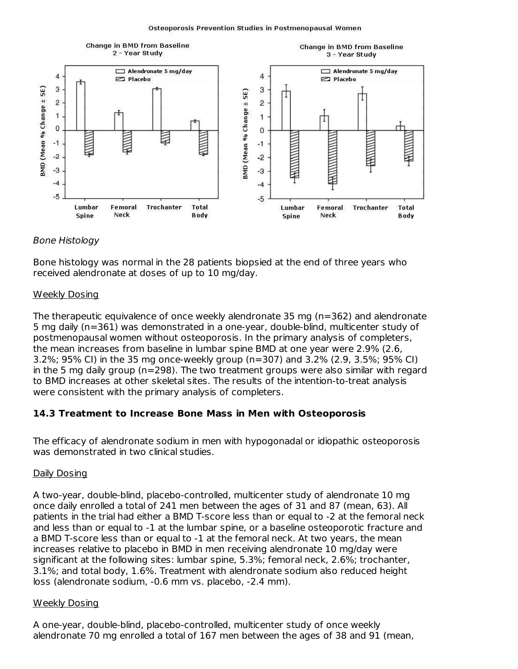

#### Bone Histology

Bone histology was normal in the 28 patients biopsied at the end of three years who received alendronate at doses of up to 10 mg/day.

#### Weekly Dosing

The therapeutic equivalence of once weekly alendronate 35 mg (n=362) and alendronate 5 mg daily (n=361) was demonstrated in a one-year, double-blind, multicenter study of postmenopausal women without osteoporosis. In the primary analysis of completers, the mean increases from baseline in lumbar spine BMD at one year were 2.9% (2.6, 3.2%; 95% CI) in the 35 mg once-weekly group (n=307) and 3.2% (2.9, 3.5%; 95% CI) in the 5 mg daily group (n=298). The two treatment groups were also similar with regard to BMD increases at other skeletal sites. The results of the intention-to-treat analysis were consistent with the primary analysis of completers.

# **14.3 Treatment to Increase Bone Mass in Men with Osteoporosis**

The efficacy of alendronate sodium in men with hypogonadal or idiopathic osteoporosis was demonstrated in two clinical studies.

### Daily Dosing

A two-year, double-blind, placebo-controlled, multicenter study of alendronate 10 mg once daily enrolled a total of 241 men between the ages of 31 and 87 (mean, 63). All patients in the trial had either a BMD T-score less than or equal to -2 at the femoral neck and less than or equal to -1 at the lumbar spine, or a baseline osteoporotic fracture and a BMD T-score less than or equal to -1 at the femoral neck. At two years, the mean increases relative to placebo in BMD in men receiving alendronate 10 mg/day were significant at the following sites: lumbar spine, 5.3%; femoral neck, 2.6%; trochanter, 3.1%; and total body, 1.6%. Treatment with alendronate sodium also reduced height loss (alendronate sodium, -0.6 mm vs. placebo, -2.4 mm).

#### Weekly Dosing

A one-year, double-blind, placebo-controlled, multicenter study of once weekly alendronate 70 mg enrolled a total of 167 men between the ages of 38 and 91 (mean,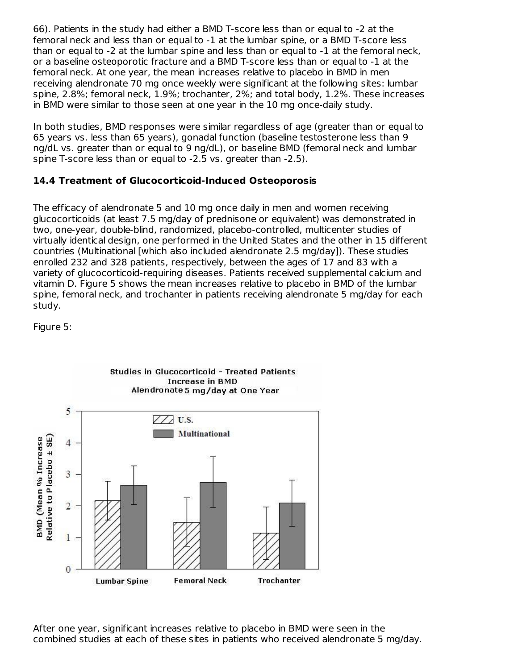66). Patients in the study had either a BMD T-score less than or equal to -2 at the femoral neck and less than or equal to -1 at the lumbar spine, or a BMD T-score less than or equal to -2 at the lumbar spine and less than or equal to -1 at the femoral neck, or a baseline osteoporotic fracture and a BMD T-score less than or equal to -1 at the femoral neck. At one year, the mean increases relative to placebo in BMD in men receiving alendronate 70 mg once weekly were significant at the following sites: lumbar spine, 2.8%; femoral neck, 1.9%; trochanter, 2%; and total body, 1.2%. These increases in BMD were similar to those seen at one year in the 10 mg once-daily study.

In both studies, BMD responses were similar regardless of age (greater than or equal to 65 years vs. less than 65 years), gonadal function (baseline testosterone less than 9 ng/dL vs. greater than or equal to 9 ng/dL), or baseline BMD (femoral neck and lumbar spine T-score less than or equal to -2.5 vs. greater than -2.5).

# **14.4 Treatment of Glucocorticoid-Induced Osteoporosis**

The efficacy of alendronate 5 and 10 mg once daily in men and women receiving glucocorticoids (at least 7.5 mg/day of prednisone or equivalent) was demonstrated in two, one-year, double-blind, randomized, placebo-controlled, multicenter studies of virtually identical design, one performed in the United States and the other in 15 different countries (Multinational [which also included alendronate 2.5 mg/day]). These studies enrolled 232 and 328 patients, respectively, between the ages of 17 and 83 with a variety of glucocorticoid-requiring diseases. Patients received supplemental calcium and vitamin D. Figure 5 shows the mean increases relative to placebo in BMD of the lumbar spine, femoral neck, and trochanter in patients receiving alendronate 5 mg/day for each study.

Figure 5:



After one year, significant increases relative to placebo in BMD were seen in the combined studies at each of these sites in patients who received alendronate 5 mg/day.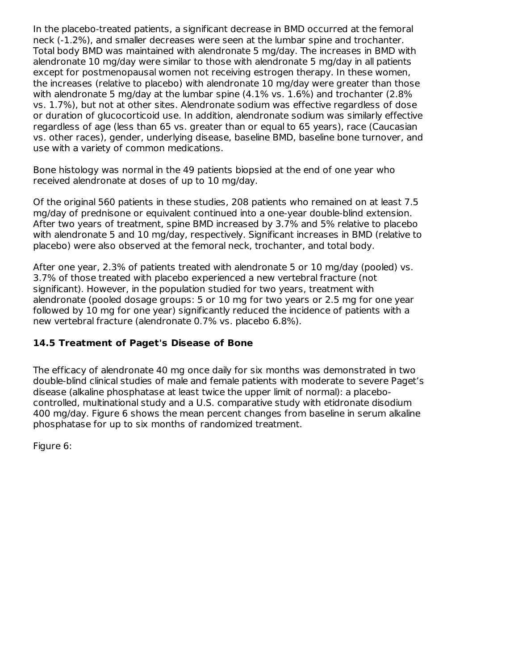In the placebo-treated patients, a significant decrease in BMD occurred at the femoral neck (-1.2%), and smaller decreases were seen at the lumbar spine and trochanter. Total body BMD was maintained with alendronate 5 mg/day. The increases in BMD with alendronate 10 mg/day were similar to those with alendronate 5 mg/day in all patients except for postmenopausal women not receiving estrogen therapy. In these women, the increases (relative to placebo) with alendronate 10 mg/day were greater than those with alendronate 5 mg/day at the lumbar spine (4.1% vs. 1.6%) and trochanter (2.8% vs. 1.7%), but not at other sites. Alendronate sodium was effective regardless of dose or duration of glucocorticoid use. In addition, alendronate sodium was similarly effective regardless of age (less than 65 vs. greater than or equal to 65 years), race (Caucasian vs. other races), gender, underlying disease, baseline BMD, baseline bone turnover, and use with a variety of common medications.

Bone histology was normal in the 49 patients biopsied at the end of one year who received alendronate at doses of up to 10 mg/day.

Of the original 560 patients in these studies, 208 patients who remained on at least 7.5 mg/day of prednisone or equivalent continued into a one-year double-blind extension. After two years of treatment, spine BMD increased by 3.7% and 5% relative to placebo with alendronate 5 and 10 mg/day, respectively. Significant increases in BMD (relative to placebo) were also observed at the femoral neck, trochanter, and total body.

After one year, 2.3% of patients treated with alendronate 5 or 10 mg/day (pooled) vs. 3.7% of those treated with placebo experienced a new vertebral fracture (not significant). However, in the population studied for two years, treatment with alendronate (pooled dosage groups: 5 or 10 mg for two years or 2.5 mg for one year followed by 10 mg for one year) significantly reduced the incidence of patients with a new vertebral fracture (alendronate 0.7% vs. placebo 6.8%).

### **14.5 Treatment of Paget's Disease of Bone**

The efficacy of alendronate 40 mg once daily for six months was demonstrated in two double-blind clinical studies of male and female patients with moderate to severe Paget's disease (alkaline phosphatase at least twice the upper limit of normal): a placebocontrolled, multinational study and a U.S. comparative study with etidronate disodium 400 mg/day. Figure 6 shows the mean percent changes from baseline in serum alkaline phosphatase for up to six months of randomized treatment.

Figure 6: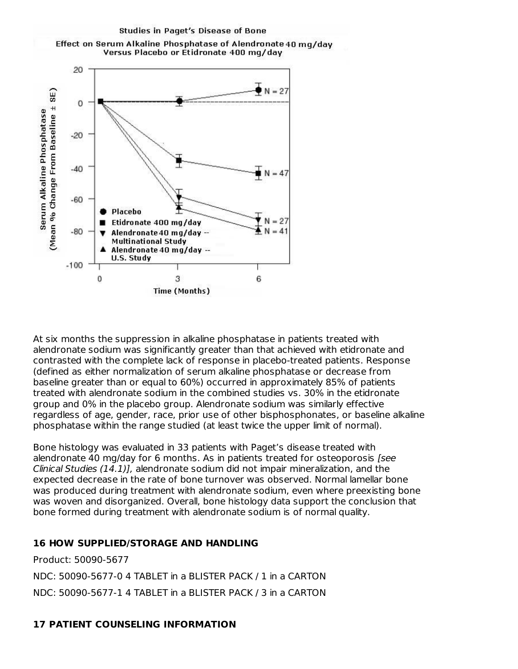#### Studies in Paget's Disease of Bone





At six months the suppression in alkaline phosphatase in patients treated with alendronate sodium was significantly greater than that achieved with etidronate and contrasted with the complete lack of response in placebo-treated patients. Response (defined as either normalization of serum alkaline phosphatase or decrease from baseline greater than or equal to 60%) occurred in approximately 85% of patients treated with alendronate sodium in the combined studies vs. 30% in the etidronate group and 0% in the placebo group. Alendronate sodium was similarly effective regardless of age, gender, race, prior use of other bisphosphonates, or baseline alkaline phosphatase within the range studied (at least twice the upper limit of normal).

Bone histology was evaluated in 33 patients with Paget's disease treated with alendronate 40 mg/day for 6 months. As in patients treated for osteoporosis [see Clinical Studies  $(14.1)$ , alendronate sodium did not impair mineralization, and the expected decrease in the rate of bone turnover was observed. Normal lamellar bone was produced during treatment with alendronate sodium, even where preexisting bone was woven and disorganized. Overall, bone histology data support the conclusion that bone formed during treatment with alendronate sodium is of normal quality.

# **16 HOW SUPPLIED/STORAGE AND HANDLING**

Product: 50090-5677 NDC: 50090-5677-0 4 TABLET in a BLISTER PACK / 1 in a CARTON NDC: 50090-5677-1 4 TABLET in a BLISTER PACK / 3 in a CARTON

# **17 PATIENT COUNSELING INFORMATION**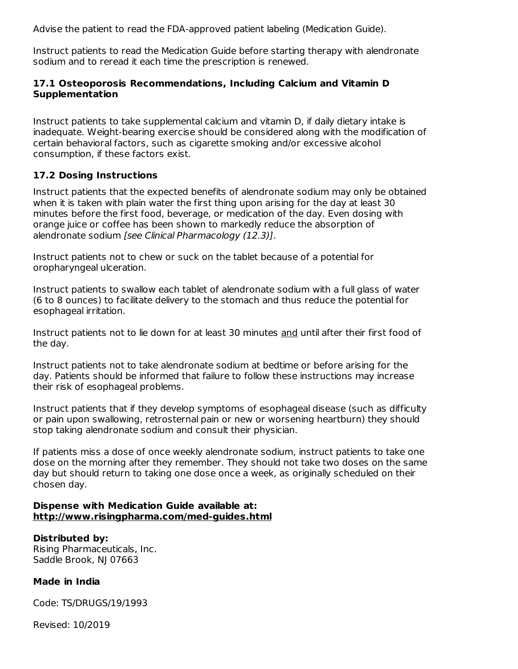Advise the patient to read the FDA-approved patient labeling (Medication Guide).

Instruct patients to read the Medication Guide before starting therapy with alendronate sodium and to reread it each time the prescription is renewed.

### **17.1 Osteoporosis Recommendations, Including Calcium and Vitamin D Supplementation**

Instruct patients to take supplemental calcium and vitamin D, if daily dietary intake is inadequate. Weight-bearing exercise should be considered along with the modification of certain behavioral factors, such as cigarette smoking and/or excessive alcohol consumption, if these factors exist.

### **17.2 Dosing Instructions**

Instruct patients that the expected benefits of alendronate sodium may only be obtained when it is taken with plain water the first thing upon arising for the day at least 30 minutes before the first food, beverage, or medication of the day. Even dosing with orange juice or coffee has been shown to markedly reduce the absorption of alendronate sodium [see Clinical Pharmacology (12.3)].

Instruct patients not to chew or suck on the tablet because of a potential for oropharyngeal ulceration.

Instruct patients to swallow each tablet of alendronate sodium with a full glass of water (6 to 8 ounces) to facilitate delivery to the stomach and thus reduce the potential for esophageal irritation.

Instruct patients not to lie down for at least 30 minutes and until after their first food of the day.

Instruct patients not to take alendronate sodium at bedtime or before arising for the day. Patients should be informed that failure to follow these instructions may increase their risk of esophageal problems.

Instruct patients that if they develop symptoms of esophageal disease (such as difficulty or pain upon swallowing, retrosternal pain or new or worsening heartburn) they should stop taking alendronate sodium and consult their physician.

If patients miss a dose of once weekly alendronate sodium, instruct patients to take one dose on the morning after they remember. They should not take two doses on the same day but should return to taking one dose once a week, as originally scheduled on their chosen day.

### **Dispense with Medication Guide available at: http://www.risingpharma.com/med-guides.html**

# **Distributed by:**

Rising Pharmaceuticals, Inc. Saddle Brook, NJ 07663

### **Made in India**

Code: TS/DRUGS/19/1993

Revised: 10/2019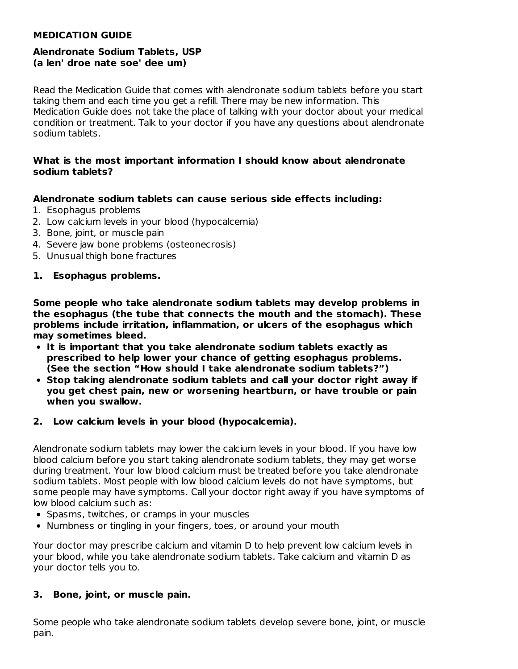### **MEDICATION GUIDE**

# **Alendronate Sodium Tablets, USP (a len' droe nate soe' dee um)**

Read the Medication Guide that comes with alendronate sodium tablets before you start taking them and each time you get a refill. There may be new information. This Medication Guide does not take the place of talking with your doctor about your medical condition or treatment. Talk to your doctor if you have any questions about alendronate sodium tablets.

# **What is the most important information I should know about alendronate sodium tablets?**

# **Alendronate sodium tablets can cause serious side effects including:**

- 1. Esophagus problems
- 2. Low calcium levels in your blood (hypocalcemia)
- 3. Bone, joint, or muscle pain
- 4. Severe jaw bone problems (osteonecrosis)
- 5. Unusual thigh bone fractures

# **1. Esophagus problems.**

**Some people who take alendronate sodium tablets may develop problems in the esophagus (the tube that connects the mouth and the stomach). These problems include irritation, inflammation, or ulcers of the esophagus which may sometimes bleed.**

- **It is important that you take alendronate sodium tablets exactly as prescribed to help lower your chance of getting esophagus problems. (See the section "How should I take alendronate sodium tablets?")**
- **Stop taking alendronate sodium tablets and call your doctor right away if you get chest pain, new or worsening heartburn, or have trouble or pain when you swallow.**

# **2. Low calcium levels in your blood (hypocalcemia).**

Alendronate sodium tablets may lower the calcium levels in your blood. If you have low blood calcium before you start taking alendronate sodium tablets, they may get worse during treatment. Your low blood calcium must be treated before you take alendronate sodium tablets. Most people with low blood calcium levels do not have symptoms, but some people may have symptoms. Call your doctor right away if you have symptoms of low blood calcium such as:

- Spasms, twitches, or cramps in your muscles
- Numbness or tingling in your fingers, toes, or around your mouth

Your doctor may prescribe calcium and vitamin D to help prevent low calcium levels in your blood, while you take alendronate sodium tablets. Take calcium and vitamin D as your doctor tells you to.

# **3. Bone, joint, or muscle pain.**

Some people who take alendronate sodium tablets develop severe bone, joint, or muscle pain.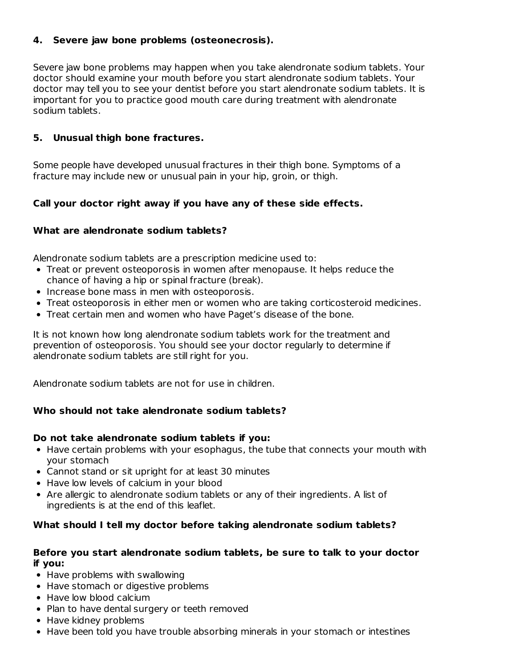# **4. Severe jaw bone problems (osteonecrosis).**

Severe jaw bone problems may happen when you take alendronate sodium tablets. Your doctor should examine your mouth before you start alendronate sodium tablets. Your doctor may tell you to see your dentist before you start alendronate sodium tablets. It is important for you to practice good mouth care during treatment with alendronate sodium tablets.

# **5. Unusual thigh bone fractures.**

Some people have developed unusual fractures in their thigh bone. Symptoms of a fracture may include new or unusual pain in your hip, groin, or thigh.

# **Call your doctor right away if you have any of these side effects.**

# **What are alendronate sodium tablets?**

Alendronate sodium tablets are a prescription medicine used to:

- Treat or prevent osteoporosis in women after menopause. It helps reduce the chance of having a hip or spinal fracture (break).
- Increase bone mass in men with osteoporosis.
- Treat osteoporosis in either men or women who are taking corticosteroid medicines.
- Treat certain men and women who have Paget's disease of the bone.

It is not known how long alendronate sodium tablets work for the treatment and prevention of osteoporosis. You should see your doctor regularly to determine if alendronate sodium tablets are still right for you.

Alendronate sodium tablets are not for use in children.

# **Who should not take alendronate sodium tablets?**

### **Do not take alendronate sodium tablets if you:**

- Have certain problems with your esophagus, the tube that connects your mouth with your stomach
- Cannot stand or sit upright for at least 30 minutes
- Have low levels of calcium in your blood
- Are allergic to alendronate sodium tablets or any of their ingredients. A list of ingredients is at the end of this leaflet.

# **What should I tell my doctor before taking alendronate sodium tablets?**

### **Before you start alendronate sodium tablets, be sure to talk to your doctor if you:**

- Have problems with swallowing
- Have stomach or digestive problems
- Have low blood calcium
- Plan to have dental surgery or teeth removed
- Have kidney problems
- Have been told you have trouble absorbing minerals in your stomach or intestines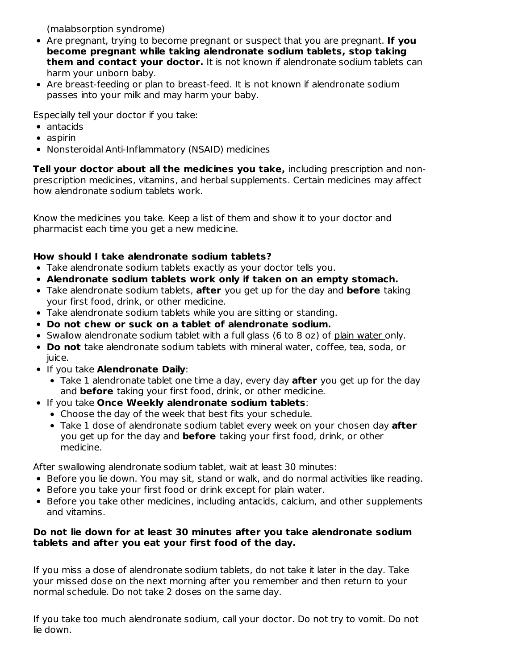(malabsorption syndrome)

- Are pregnant, trying to become pregnant or suspect that you are pregnant. **If you become pregnant while taking alendronate sodium tablets, stop taking them and contact your doctor.** It is not known if alendronate sodium tablets can harm your unborn baby.
- Are breast-feeding or plan to breast-feed. It is not known if alendronate sodium passes into your milk and may harm your baby.

Especially tell your doctor if you take:

- antacids
- aspirin
- Nonsteroidal Anti-Inflammatory (NSAID) medicines

**Tell your doctor about all the medicines you take,** including prescription and nonprescription medicines, vitamins, and herbal supplements. Certain medicines may affect how alendronate sodium tablets work.

Know the medicines you take. Keep a list of them and show it to your doctor and pharmacist each time you get a new medicine.

# **How should I take alendronate sodium tablets?**

- Take alendronate sodium tablets exactly as your doctor tells you.
- **Alendronate sodium tablets work only if taken on an empty stomach.**
- Take alendronate sodium tablets, **after** you get up for the day and **before** taking your first food, drink, or other medicine.
- Take alendronate sodium tablets while you are sitting or standing.
- **Do not chew or suck on a tablet of alendronate sodium.**
- $\bullet$  Swallow alendronate sodium tablet with a full glass (6 to 8 oz) of plain water only.
- **Do not** take alendronate sodium tablets with mineral water, coffee, tea, soda, or juice.
- If you take **Alendronate Daily**:
	- Take 1 alendronate tablet one time a day, every day **after** you get up for the day and **before** taking your first food, drink, or other medicine.
- If you take **Once Weekly alendronate sodium tablets**:
	- Choose the day of the week that best fits your schedule.
	- Take 1 dose of alendronate sodium tablet every week on your chosen day **after** you get up for the day and **before** taking your first food, drink, or other medicine.

After swallowing alendronate sodium tablet, wait at least 30 minutes:

- Before you lie down. You may sit, stand or walk, and do normal activities like reading.
- Before you take your first food or drink except for plain water.
- Before you take other medicines, including antacids, calcium, and other supplements and vitamins.

### **Do not lie down for at least 30 minutes after you take alendronate sodium tablets and after you eat your first food of the day.**

If you miss a dose of alendronate sodium tablets, do not take it later in the day. Take your missed dose on the next morning after you remember and then return to your normal schedule. Do not take 2 doses on the same day.

If you take too much alendronate sodium, call your doctor. Do not try to vomit. Do not lie down.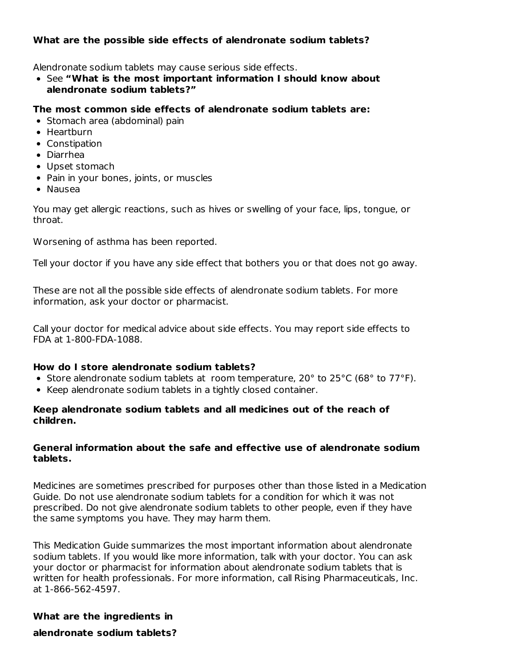# **What are the possible side effects of alendronate sodium tablets?**

Alendronate sodium tablets may cause serious side effects.

See **"What is the most important information I should know about alendronate sodium tablets?"**

**The most common side effects of alendronate sodium tablets are:**

- Stomach area (abdominal) pain
- Heartburn
- Constipation
- Diarrhea
- Upset stomach
- Pain in your bones, joints, or muscles
- Nausea

You may get allergic reactions, such as hives or swelling of your face, lips, tongue, or throat.

Worsening of asthma has been reported.

Tell your doctor if you have any side effect that bothers you or that does not go away.

These are not all the possible side effects of alendronate sodium tablets. For more information, ask your doctor or pharmacist.

Call your doctor for medical advice about side effects. You may report side effects to FDA at 1-800-FDA-1088.

#### **How do I store alendronate sodium tablets?**

- Store alendronate sodium tablets at room temperature,  $20^{\circ}$  to  $25^{\circ}$ C (68° to  $77^{\circ}$ F).
- Keep alendronate sodium tablets in a tightly closed container.

#### **Keep alendronate sodium tablets and all medicines out of the reach of children.**

### **General information about the safe and effective use of alendronate sodium tablets.**

Medicines are sometimes prescribed for purposes other than those listed in a Medication Guide. Do not use alendronate sodium tablets for a condition for which it was not prescribed. Do not give alendronate sodium tablets to other people, even if they have the same symptoms you have. They may harm them.

This Medication Guide summarizes the most important information about alendronate sodium tablets. If you would like more information, talk with your doctor. You can ask your doctor or pharmacist for information about alendronate sodium tablets that is written for health professionals. For more information, call Rising Pharmaceuticals, Inc. at 1-866-562-4597.

### **What are the ingredients in**

### **alendronate sodium tablets?**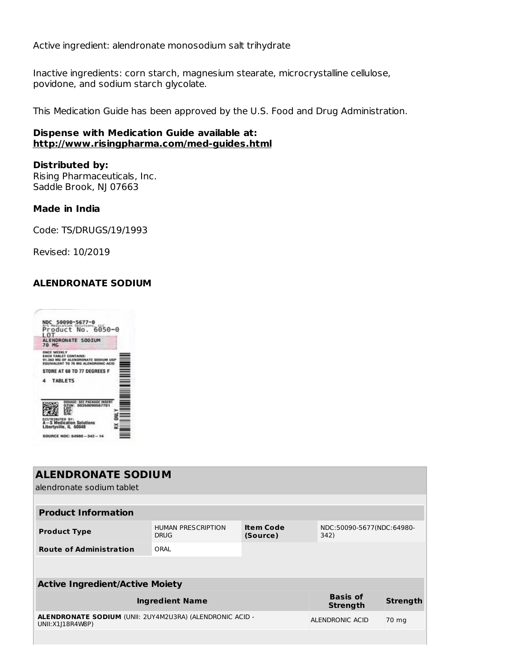Active ingredient: alendronate monosodium salt trihydrate

Inactive ingredients: corn starch, magnesium stearate, microcrystalline cellulose, povidone, and sodium starch glycolate.

This Medication Guide has been approved by the U.S. Food and Drug Administration.

### **Dispense with Medication Guide available at: http://www.risingpharma.com/med-guides.html**

#### **Distributed by:**

Rising Pharmaceuticals, Inc. Saddle Brook, NJ 07663

#### **Made in India**

Code: TS/DRUGS/19/1993

Revised: 10/2019

# **ALENDRONATE SODIUM**



| <b>ALENDRONATE SODIUM</b><br>alendronate sodium tablet                        |                                          |                              |                                    |                 |  |  |
|-------------------------------------------------------------------------------|------------------------------------------|------------------------------|------------------------------------|-----------------|--|--|
| <b>Product Information</b>                                                    |                                          |                              |                                    |                 |  |  |
| <b>Product Type</b>                                                           | <b>HUMAN PRESCRIPTION</b><br><b>DRUG</b> | <b>Item Code</b><br>(Source) | NDC:50090-5677(NDC:64980-<br>342)  |                 |  |  |
| <b>Route of Administration</b>                                                | ORAL                                     |                              |                                    |                 |  |  |
|                                                                               |                                          |                              |                                    |                 |  |  |
| <b>Active Ingredient/Active Moiety</b>                                        |                                          |                              |                                    |                 |  |  |
|                                                                               | <b>Ingredient Name</b>                   |                              | <b>Basis of</b><br><b>Strength</b> | <b>Strength</b> |  |  |
| ALENDRONATE SODIUM (UNII: 2UY4M2U3RA) (ALENDRONIC ACID -<br>UNII: X1 18R4W8P) |                                          |                              | ALENDRONIC ACID                    | 70 mg           |  |  |
|                                                                               |                                          |                              |                                    |                 |  |  |